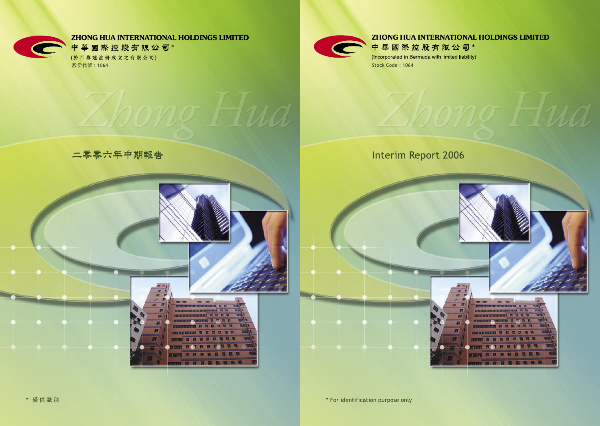

## **ZHONG HUA INTERNATIONAL HOLDINGS LIMITED**

Hua

中華國際控股有限公司\* (Incorporated in Bermuda with limited liability) Stock Code: 1064

# **Interim Report 2006**



\* For identification purpose only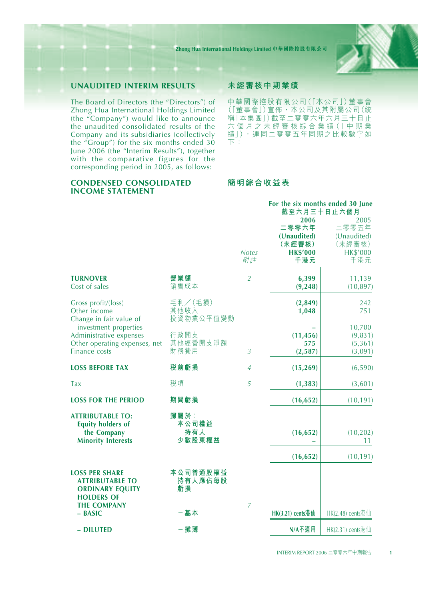

## **UNAUDITED INTERIM RESULTS**

The Board of Directors (the "Directors") of Zhong Hua International Holdings Limited (the "Company") would like to announce the unaudited consolidated results of the Company and its subsidiaries (collectively the "Group") for the six months ended 30 June 2006 (the "Interim Results"), together with the comparative figures for the corresponding period in 2005, as follows:

## **CONDENSED CONSOLIDATED INCOME STATEMENT**

#### **未經審核中期業績**

中華國際控股有限公司(「本公司」)董事會 (「董事會」)宣佈,本公司及其附屬公司(統 稱「本集團」)截至二零零六年六月三十日止 六 個 月 之 未 經 審 核 綜 合 業 績 (「中 期 業 績」),連同二零零五年同期之比較數字如 下:

## **簡明綜合收益表**

|                                                                                                    |                                |                    | For the six months ended 30 June<br>截至六月三十日止六個月<br>2006<br>二零零六年<br>(Unaudited) | 2005<br>二零零五年<br>(Unaudited)             |
|----------------------------------------------------------------------------------------------------|--------------------------------|--------------------|---------------------------------------------------------------------------------|------------------------------------------|
|                                                                                                    |                                | <b>Notes</b><br>附註 | (未經審核)<br><b>HK\$'000</b><br>千港元                                                | (未經審核)<br><b>HK\$'000</b><br>千港元         |
| <b>TURNOVER</b><br>Cost of sales                                                                   | 營業額<br>銷售成本                    | $\overline{2}$     | 6,399<br>(9, 248)                                                               | 11,139<br>(10, 897)                      |
| Gross profit/(loss)<br>Other income<br>Change in fair value of                                     | 毛利/(毛損)<br>其他收入<br>投資物業公平值變動   |                    | (2,849)<br>1,048                                                                | 242<br>751                               |
| investment properties<br>Administrative expenses<br>Other operating expenses, net<br>Finance costs | 行政開支<br>其他經營開支淨額<br>財務費用       | $\overline{3}$     | (11, 456)<br>575<br>(2,587)                                                     | 10,700<br>(9,831)<br>(5, 361)<br>(3,091) |
| <b>LOSS BEFORE TAX</b>                                                                             | 税前虧損                           | $\overline{4}$     | (15, 269)                                                                       | (6, 590)                                 |
| Tax                                                                                                | 税項                             | 5                  | (1, 383)                                                                        | (3,601)                                  |
| <b>LOSS FOR THE PERIOD</b>                                                                         | 期間虧損                           |                    | (16, 652)                                                                       | (10, 191)                                |
| <b>ATTRIBUTABLE TO:</b><br><b>Equity holders of</b><br>the Company<br><b>Minority Interests</b>    | 歸屬於:<br>本公司權益<br>持有人<br>少數股東權益 |                    | (16, 652)                                                                       | (10, 202)<br>11                          |
|                                                                                                    |                                |                    | (16, 652)                                                                       | (10, 191)                                |
| <b>LOSS PER SHARE</b><br><b>ATTRIBUTABLE TO</b><br><b>ORDINARY EQUITY</b><br><b>HOLDERS OF</b>     | 本公司普通股權益<br>持有人應佔每股<br>虧損      |                    |                                                                                 |                                          |
| <b>THE COMPANY</b><br>- BASIC                                                                      | 一基本                            | $\overline{7}$     | HK(3.21) cents港仙                                                                | $HK(2.48)$ cents港仙                       |
| - DILUTED                                                                                          | - 攤薄                           |                    | N/A不適用                                                                          | HK(2.31) cents港仙                         |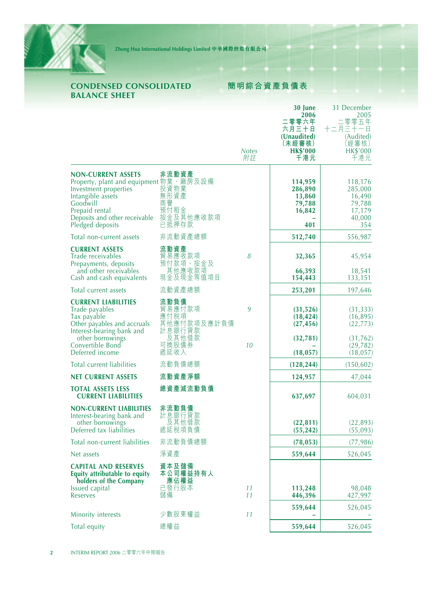

## **CONDENSED CONSOLIDATED BALANCE SHEET**

## **簡明綜合資產負債表**

|                                                                                                                                                                                                               |                                                   | <b>Notes</b><br>附註 | 30 June<br>2006<br>零零六年<br>六月三十日<br>(Unaudited)<br>(未經審核)<br><b>HK\$'000</b><br>千港元 | 31 December<br>2005<br>零零五年<br>十二月三十一白<br>(Audited)<br>[經審核)<br><b>HK\$'000</b><br>千港元 |
|---------------------------------------------------------------------------------------------------------------------------------------------------------------------------------------------------------------|---------------------------------------------------|--------------------|-------------------------------------------------------------------------------------|----------------------------------------------------------------------------------------|
| <b>NON-CURRENT ASSETS</b><br>Property, plant and equipment 物業、廠房及設備<br>Investment properties     投資物業<br>Intangible assets<br>Goodwill<br>Prepaid rental<br>Deposits and other receivable<br>Pledged deposits | 非流動資產<br>無形資產<br>商譽<br>預付租金<br>按金及其他應收款項<br>已抵押存款 |                    | 114,959<br>286,890<br>13,860<br>79,788<br>16,842<br>401                             | 118,176<br>285,000<br>16,490<br>79,788<br>17,179<br>40,000<br>354                      |
| Total non-current assets                                                                                                                                                                                      | 非流動資產總額                                           |                    | 512,740                                                                             | 556,987                                                                                |
| <b>CURRENT ASSETS</b><br>Trade receivables<br>Prepayments, deposits<br>and other receivables<br>Cash and cash equivalents                                                                                     | 流動資產<br>貿易應收款項<br>預付款項、按金及<br>其他應收款項<br>現金及現金等值項目 | 8                  | 32,365<br>66,393<br>154,443                                                         | 45,954<br>18,541<br>133,151                                                            |
| Total current assets                                                                                                                                                                                          | 流動資產總額                                            |                    | 253,201                                                                             | 197,646                                                                                |
| <b>CURRENT LIABILITIES</b><br>Trade payables<br>Tax payable<br>Other payables and accruals<br>Interest-bearing bank and                                                                                       | 流動負債<br>貿易應付款項<br>'應付税項''<br>其他應付款項及應計負債          | 9                  | (31, 526)<br>(18, 424)<br>(27, 456)                                                 | (31, 333)<br>(16, 895)<br>(22, 773)                                                    |
| other borrowings<br>Convertible Bond<br>Deferred income                                                                                                                                                       | ,計息銀行貸款<br>一及其他借款<br>可換股債券<br>遞延收入                | 10                 | (32, 781)<br>(18, 057)                                                              | (31,762)<br>(29, 782)<br>(18, 057)                                                     |
| Total current liabilities                                                                                                                                                                                     | 流動負債總額                                            |                    | (128, 244)                                                                          | (150, 602)                                                                             |
| <b>NET CURRENT ASSETS</b>                                                                                                                                                                                     | 流動資產淨額                                            |                    | 124,957                                                                             | 47,044                                                                                 |
| <b>TOTAL ASSETS LESS</b><br><b>CURRENT LIABILITIES</b>                                                                                                                                                        | 總資產減流動負債                                          |                    | 637,697                                                                             | 604,031                                                                                |
| <b>NON-CURRENT LIABILITIES</b><br>Interest-bearing bank and<br>other borrowings<br>Deferred tax liabilities                                                                                                   | 非流動負債<br>計息銀行貸款<br>及其他借款<br>遞延税項負債                |                    | (22, 811)<br>(55, 242)                                                              | (22, 893)<br>(55,093)                                                                  |
| Total non-current liabilities                                                                                                                                                                                 | 非流動負債總額                                           |                    | (78, 053)                                                                           | (77, 986)                                                                              |
| Net assets                                                                                                                                                                                                    | 淨資產                                               |                    | 559,644                                                                             | 526,045                                                                                |
| <b>CAPITAL AND RESERVES</b><br>Equity attributable to equity<br>holders of the Company<br><b>Issued</b> capital<br>Reserves                                                                                   | 資本及儲備<br>本公司權益持有人<br>應佔權益<br>已發行股本<br>儲備          | 11<br>11           | 113,248<br>446,396                                                                  | 98,048<br>427,997                                                                      |
| Minority interests                                                                                                                                                                                            | 少數股東權益                                            | 11                 | 559,644                                                                             | 526,045                                                                                |
| Total equity                                                                                                                                                                                                  | 總權益                                               |                    | 559,644                                                                             | 526,045                                                                                |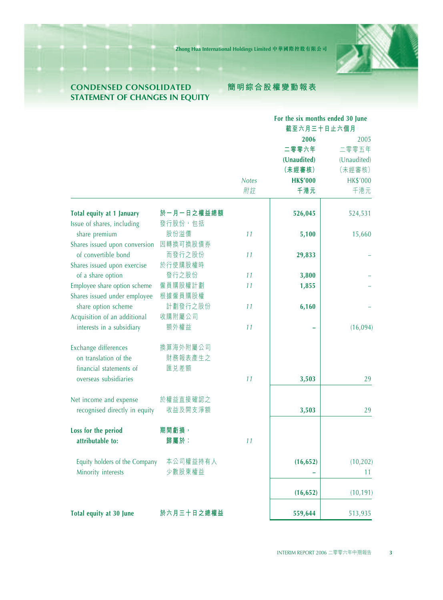

## **CONDENSED CONSOLIDATED STATEMENT OF CHANGES IN EQUITY**

## **簡明綜合股權變動報表**

|                               |            | For the six months ended 30 June<br>截至六月三十日止六個月 |                 |                 |
|-------------------------------|------------|-------------------------------------------------|-----------------|-----------------|
|                               |            |                                                 | 2006            | 2005            |
|                               |            |                                                 | 二零零六年           | 二零零五年           |
|                               |            |                                                 | (Unaudited)     | (Unaudited)     |
|                               |            |                                                 | (未經審核)          | (未經審核)          |
|                               |            | <b>Notes</b>                                    | <b>HK\$'000</b> | <b>HK\$'000</b> |
|                               |            | 附註                                              | 千港元             | 千港元             |
|                               |            |                                                 |                 |                 |
| Total equity at 1 January     | 於一月一日之權益總額 |                                                 | 526,045         | 524,531         |
| Issue of shares, including    | 發行股份,包括    |                                                 |                 |                 |
| share premium                 | 股份溢價       | 11                                              | 5,100           | 15,660          |
| Shares issued upon conversion | 因轉換可換股債券   |                                                 |                 |                 |
| of convertible bond           | 而發行之股份     | 11                                              | 29,833          |                 |
| Shares issued upon exercise   | 於行使購股權時    |                                                 |                 |                 |
| of a share option             | 發行之股份      | 11                                              | 3,800           |                 |
| Employee share option scheme  | 僱員購股權計劃    | 11                                              | 1,855           |                 |
| Shares issued under employee  | 根據僱員購股權    |                                                 |                 |                 |
| share option scheme           | 計劃發行之股份    | 11                                              | 6,160           |                 |
| Acquisition of an additional  | 收購附屬公司     |                                                 |                 |                 |
| interests in a subsidiary     | 額外權益       | 11                                              |                 | (16,094)        |
| Exchange differences          | 換算海外附屬公司   |                                                 |                 |                 |
| on translation of the         | 財務報表產生之    |                                                 |                 |                 |
| financial statements of       | 匯兑差額       |                                                 |                 |                 |
| overseas subsidiaries         |            | 11                                              | 3,503           | 29              |
| Net income and expense        | 於權益直接確認之   |                                                 |                 |                 |
| recognised directly in equity | 收益及開支淨額    |                                                 | 3,503           | 29              |
| Loss for the period           | 期間虧損,      |                                                 |                 |                 |
| attributable to:              | 歸屬於:       | 11                                              |                 |                 |
| Equity holders of the Company | 本公司權益持有人   |                                                 | (16, 652)       | (10, 202)       |
| Minority interests            | 少數股東權益     |                                                 |                 | 11              |
|                               |            |                                                 | (16, 652)       | (10, 191)       |
|                               |            |                                                 |                 |                 |
| Total equity at 30 June       | 於六月三十日之總權益 |                                                 | 559,644         | 513,935         |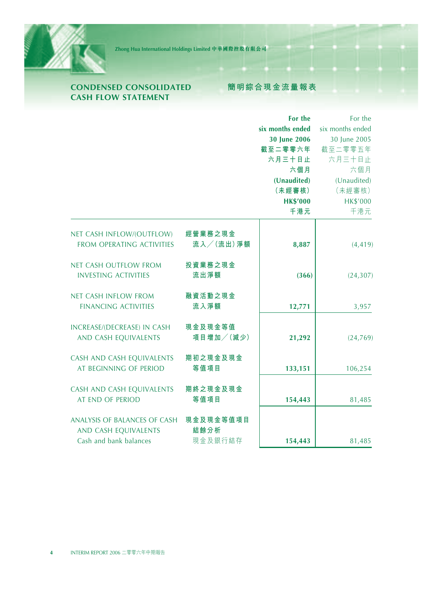

## **CONDENSED CONSOLIDATED CASH FLOW STATEMENT**

## **簡明綜合現金流量報表**

|                                  |           | For the          | For the          |
|----------------------------------|-----------|------------------|------------------|
|                                  |           | six months ended | six months ended |
|                                  |           | 30 June 2006     | 30 June 2005     |
|                                  |           | 截至二零零六年          | 截至二零零五年          |
|                                  |           | 六月三十日止           | 六月三十日止           |
|                                  |           | 六個月              | 六個月              |
|                                  |           | (Unaudited)      | (Unaudited)      |
|                                  |           | (未經審核)           | (未經審核)           |
|                                  |           | <b>HK\$'000</b>  | <b>HK\$'000</b>  |
|                                  |           | 千港元              | 千港元              |
| NET CASH INFLOW/(OUTFLOW)        | 經營業務之現金   |                  |                  |
| <b>FROM OPERATING ACTIVITIES</b> | 流入/(流出)淨額 | 8,887            | (4, 419)         |
|                                  |           |                  |                  |
| <b>NET CASH OUTFLOW FROM</b>     | 投資業務之現金   |                  |                  |
| <b>INVESTING ACTIVITIES</b>      | 流出淨額      | (366)            | (24, 307)        |
|                                  |           |                  |                  |
| <b>NET CASH INFLOW FROM</b>      | 融資活動之現金   |                  |                  |
| <b>FINANCING ACTIVITIES</b>      | 流入淨額      | 12,771           | 3,957            |
| INCREASE/(DECREASE) IN CASH      | 現金及現金等值   |                  |                  |
| AND CASH EQUIVALENTS             | 項目增加/(減少) | 21,292           | (24, 769)        |
|                                  |           |                  |                  |
| CASH AND CASH EQUIVALENTS        | 期初之現金及現金  |                  |                  |
| AT BEGINNING OF PERIOD           | 等值項目      | 133,151          | 106,254          |
| CASH AND CASH EQUIVALENTS        | 期終之現金及現金  |                  |                  |
| AT END OF PERIOD                 | 等值項目      | 154,443          | 81,485           |
|                                  |           |                  |                  |
| ANALYSIS OF BALANCES OF CASH     | 現金及現金等值項目 |                  |                  |
| AND CASH EQUIVALENTS             | 結餘分析      |                  |                  |
| Cash and bank balances           | 現金及銀行結存   | 154,443          | 81,485           |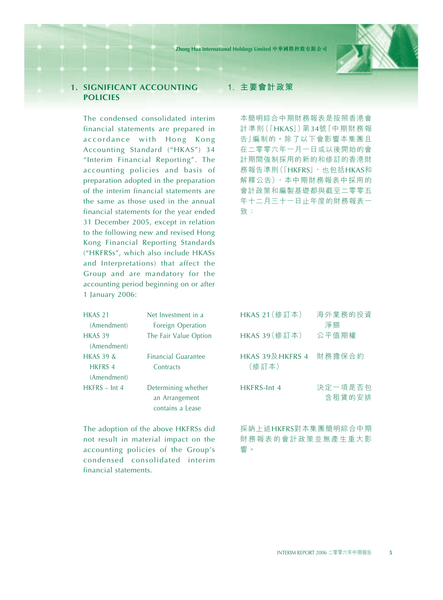

## **1. SIGNIFICANT ACCOUNTING POLICIES**

The condensed consolidated interim financial statements are prepared in accordance with Hong Kong Accounting Standard ("HKAS") 34 "Interim Financial Reporting". The accounting policies and basis of preparation adopted in the preparation of the interim financial statements are the same as those used in the annual financial statements for the year ended 31 December 2005, except in relation to the following new and revised Hong Kong Financial Reporting Standards ("HKFRSs", which also include HKASs and Interpretations) that affect the Group and are mandatory for the accounting period beginning on or after 1 January 2006:

| <b>HKAS 21</b>       | Net Investment in a        |  |  |  |
|----------------------|----------------------------|--|--|--|
| (Amendment)          | Foreign Operation          |  |  |  |
| <b>HKAS 39</b>       | The Fair Value Option      |  |  |  |
| (Amendment)          |                            |  |  |  |
| <b>HKAS 39 &amp;</b> | <b>Financial Guarantee</b> |  |  |  |
| <b>HKFRS 4</b>       | Contracts                  |  |  |  |
| (Amendment)          |                            |  |  |  |
| $HKFRS - Int 4$      | Determining whether        |  |  |  |
|                      | an Arrangement             |  |  |  |
|                      | contains a Lease           |  |  |  |

The adoption of the above HKFRSs did not result in material impact on the accounting policies of the Group's condensed consolidated interim financial statements.

#### **1. 主要會計政策**

本簡明綜合中期財務報表是按照香港會 計準則(「HKAS」)第34號「中期財務報 告」編制的。除了以下會影響本集團且 在二零零六年一月一日或以後開始的會 計期間強制採用的新的和修訂的香港財 務報告準則(「HKFRS」,也包括HKAS和 解釋公告),本中期財務報表中採用的 會計政策和編製基礎都與截至二零零五 年十二月三十一日止年度的財務報表一 致:

| HKAS 21 (修訂本)             | 海外業務的投資<br>淨額     |
|---------------------------|-------------------|
| HKAS 39 (修訂本)             | 公平值期權             |
| HKAS 39及 HKFRS 4<br>(修訂本) | 財務擔保合約            |
| HKFRS-Int 4               | 決定一項是否包<br>含租賃的安排 |

採納上述HKFRS對本集團簡明綜合中期 財務報表的會計政策並無產生重大影 響。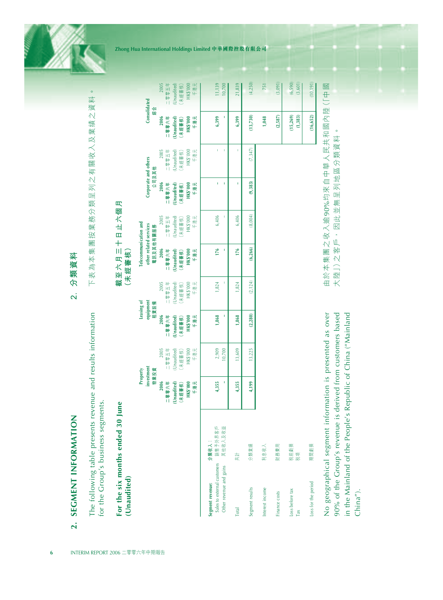| The following table presents revenue and results information<br>for the Group's business segments. |                             |                                                          |                                                          |                                                          |                                                           |                                                              |                                                          | 下表為本集團按業務分類呈列之有關收入及業績之資料                                 |                                                           |                                                          |                                |
|----------------------------------------------------------------------------------------------------|-----------------------------|----------------------------------------------------------|----------------------------------------------------------|----------------------------------------------------------|-----------------------------------------------------------|--------------------------------------------------------------|----------------------------------------------------------|----------------------------------------------------------|-----------------------------------------------------------|----------------------------------------------------------|--------------------------------|
| For the six months ended 30 June<br>(Unaudited)                                                    |                             |                                                          |                                                          |                                                          |                                                           | (未經審核)                                                       | 截至六月二十日上六個月                                              |                                                          |                                                           |                                                          |                                |
|                                                                                                    |                             |                                                          | investment<br>物業投資<br>Property                           | equipment                                                | Leasing of<br>租賃設備                                        | Telecommunication and<br>other related services<br>電訊及其他有關服務 |                                                          | Corporate and others<br>公司及其他                            |                                                           | Consolidated<br>給合                                       |                                |
|                                                                                                    |                             | 2006<br>HK\$'000<br>十六時時<br>千港元<br>(Unaudited)<br>(未經書核) | 2005<br>中国零型<br>(Unaudited)<br>HK\$'000<br>千港元<br>(未經審核) | 2006<br>一等的一<br>(Unaudited)<br>HK\$'000<br>千港元<br>(未經書核) | 2005<br>中国家部门<br>(Unaudited)<br>HK\$'000<br>千港元<br>(未經審核) | 2006<br>十六聯聯  <br>HK\$'000<br>(Unaudited)<br>千港元<br>未經書核)    | 2005<br>一零蛋早年<br>HK\$'000<br>千港元<br>Unaudited)<br>(未經審核) | 2006<br>一等物中<br>(Unaudited)<br>HK\$'000<br>千港元<br>未經書 核) | HK\$'000<br>2005<br>二零型的一<br>(Unaudited)<br>千港元<br>(未經審核) | 2006<br>一等物中<br>HK\$'000<br>千港元<br>(Unaudited)<br>(未經書核) | 中国学院二<br>(Unaudited)<br>(未經審核) |
| customers<br>Other revenue and gains<br>Segment revenue:<br>Sales to external                      | 銷售予外界客戶<br>其他收入及收益<br>分類收入: | I<br>4,355                                               | 2,909<br>10,700                                          | Ţ<br>1,868                                               | 1,824                                                     | Ţ<br>176                                                     | f,<br>6,406                                              | Î,<br>ï                                                  | Ï,<br>f,                                                  | ĭ,<br>6,399                                              |                                |
| Total                                                                                              | 共計                          | 4,355                                                    | 13,609                                                   | 1,868                                                    | 1.824                                                     | 176                                                          | 6,406                                                    | ï                                                        | Ï                                                         | 6,399                                                    |                                |
| Segment results                                                                                    | 分類業績                        | 4,199                                                    | 13,225                                                   | (2, 280)                                                 | (2, 124)                                                  | (6, 266)                                                     | (8,004)                                                  | (9, 383)                                                 | (7,347)                                                   | (13, 730)                                                |                                |
| Interest income                                                                                    | 利息收入                        |                                                          |                                                          |                                                          |                                                           |                                                              |                                                          |                                                          |                                                           | 1,048                                                    |                                |
| Finance costs                                                                                      | 財務費用                        |                                                          |                                                          |                                                          |                                                           |                                                              |                                                          |                                                          |                                                           | (2, 587)                                                 |                                |
| Loss before tax<br>Tax                                                                             | 税前虧損<br>税項                  |                                                          |                                                          |                                                          |                                                           |                                                              |                                                          |                                                          |                                                           | (15, 269)<br>(1, 383)                                    |                                |
| Loss for the period                                                                                | 期間虧損                        |                                                          |                                                          |                                                          |                                                           |                                                              |                                                          |                                                          |                                                           | (16, 652)                                                | (10, 191)                      |

No geographical segment information is presented as over 90% of the Group's revenue is derived from customers based No geographical segment information is presented as over 90% of the Group's revenue is derived from customers based in the Mainland of the People's Republic of China ("Mainland in the Mainland of the People's Republic of China ("Mainland China").

大陸」)之客戶,因此並無呈列地區分類資料。

大陸」)之客戶,因此並無呈列地區分類資料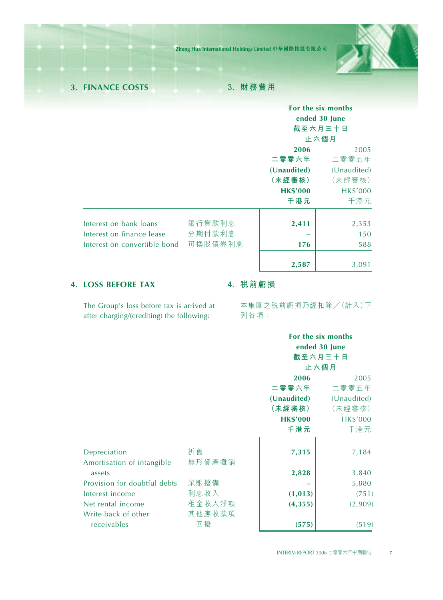

**3. FINANCE COSTS 3. 財務費用**

|                              |         | For the six months |                 |
|------------------------------|---------|--------------------|-----------------|
|                              |         | ended 30 June      |                 |
|                              |         | 截至六月三十日            |                 |
|                              |         | 止六個月               |                 |
|                              |         | 2006               | 2005            |
|                              |         | 二零零六年              | 二零零五年           |
|                              |         | (Unaudited)        | (Unaudited)     |
|                              |         | (未經審核)             | (未經審核)          |
|                              |         | <b>HK\$'000</b>    | <b>HK\$'000</b> |
|                              |         | 千港元                | 千港元             |
|                              |         |                    |                 |
| Interest on bank loans       | 銀行貸款利息  | 2,411              | 2,353           |
| Interest on finance lease    | 分期付款利息  |                    | 150             |
| Interest on convertible bond | 可換股債券利息 | 176                | 588             |
|                              |         | 2,587              | 3,091           |

## **4. LOSS BEFORE TAX**

## **4. 稅前虧損**

The Group's loss before tax is arrived at after charging/(crediting) the following:

本集團之稅前虧損乃經扣除/(計入)下 列各項:

|                              |        |                 | For the six months<br>ended 30 June<br>截至六月三十日<br>止六個月 |
|------------------------------|--------|-----------------|--------------------------------------------------------|
|                              |        | 2006            | 2005                                                   |
|                              |        | 二零零六年           | 二零零五年                                                  |
|                              |        | (Unaudited)     | (Unaudited)                                            |
|                              |        | (未經審核)          | (未經審核)                                                 |
|                              |        | <b>HK\$'000</b> | <b>HK\$'000</b>                                        |
|                              |        | 千港元             | 千港元                                                    |
| Depreciation                 | 折舊     | 7,315           | 7,184                                                  |
| Amortisation of intangible   | 無形資產攤銷 |                 |                                                        |
| assets                       |        | 2,828           | 3,840                                                  |
| Provision for doubtful debts | 呆賬撥備   |                 | 5,880                                                  |
| Interest income              | 利息收入   | (1, 013)        | (751)                                                  |
| Net rental income            | 租金收入淨額 | (4, 355)        | (2,909)                                                |
| Write back of other          | 其他應收款項 |                 |                                                        |
| receivables                  | 回橃     | (575)           | (519)                                                  |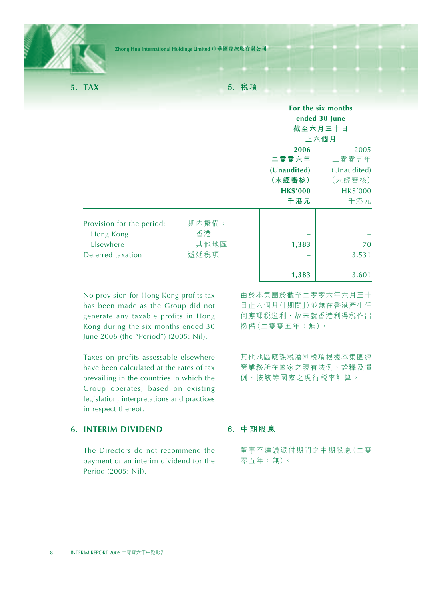

**5. TAX**

**5. 稅項**

|                                                                          |                             |                                                                  | For the six months<br>ended 30 June<br>截至六月三十日<br>止六個月           |
|--------------------------------------------------------------------------|-----------------------------|------------------------------------------------------------------|------------------------------------------------------------------|
|                                                                          |                             | 2006<br>二零零六年<br>(Unaudited)<br>(未經審核)<br><b>HK\$'000</b><br>千港元 | 2005<br>二零零五年<br>(Unaudited)<br>(未經審核)<br><b>HK\$'000</b><br>千港元 |
| Provision for the period:<br>Hong Kong<br>Elsewhere<br>Deferred taxation | 期內撥備:<br>香港<br>其他地區<br>遞延税項 | 1,383<br>-<br>1,383                                              | 70<br>3,531<br>3,601                                             |

No provision for Hong Kong profits tax has been made as the Group did not generate any taxable profits in Hong Kong during the six months ended 30 June 2006 (the "Period") (2005: Nil).

Taxes on profits assessable elsewhere have been calculated at the rates of tax prevailing in the countries in which the Group operates, based on existing legislation, interpretations and practices in respect thereof.

## **6. INTERIM DIVIDEND**

The Directors do not recommend the payment of an interim dividend for the Period (2005: Nil).

由於本集團於截至二零零六年六月三十 日止六個月(「期間」)並無在香港產生任 何應課稅溢利,故未就香港利得稅作出 撥備(二零零五年:無)。

其他地區應課稅溢利稅項根據本集團經 營業務所在國家之現有法例、詮釋及慣 例,按該等國家之現行稅率計算。

#### **6. 中期股息**

董事不建議派付期間之中期股息(二零 零五年:無)。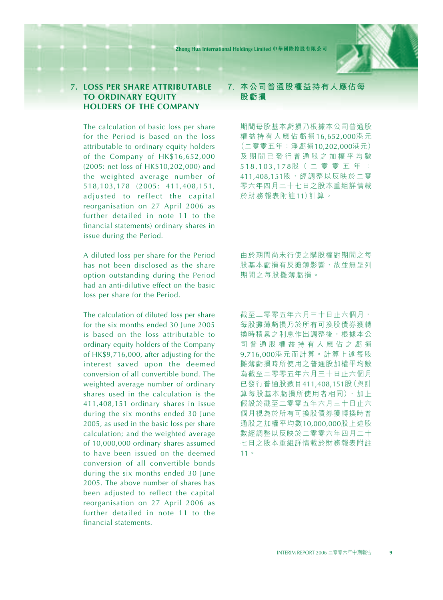### **7. LOSS PER SHARE ATTRIBUTABLE TO ORDINARY EQUITY HOLDERS OF THE COMPANY**

The calculation of basic loss per share for the Period is based on the loss attributable to ordinary equity holders of the Company of HK\$16,652,000 (2005: net loss of HK\$10,202,000) and the weighted average number of 518,103,178 (2005: 411,408,151, adjusted to reflect the capital reorganisation on 27 April 2006 as further detailed in note 11 to the financial statements) ordinary shares in issue during the Period.

A diluted loss per share for the Period has not been disclosed as the share option outstanding during the Period had an anti-dilutive effect on the basic loss per share for the Period.

The calculation of diluted loss per share for the six months ended 30 June 2005 is based on the loss attributable to ordinary equity holders of the Company of HK\$9,716,000, after adjusting for the interest saved upon the deemed conversion of all convertible bond. The weighted average number of ordinary shares used in the calculation is the 411,408,151 ordinary shares in issue during the six months ended 30 June 2005, as used in the basic loss per share calculation; and the weighted average of 10,000,000 ordinary shares assumed to have been issued on the deemed conversion of all convertible bonds during the six months ended 30 June 2005. The above number of shares has been adjusted to reflect the capital reorganisation on 27 April 2006 as further detailed in note 11 to the financial statements.

## **7. 本公司普通股權益持有人應佔每 股虧損**

期間每股基本虧損乃根據本公司普通股 權益持有人應佔虧損 16,652,000港 元 (二零零五年:淨虧損10,202,000港元) 及期間已發行普通股之加權平均數 518,103,178股( 二 零 零 五 年 : 411,408,151股,經調整以反映於二零 零六年四月二十七日之股本重組詳情載 於財務報表附註11)計算。

由於期間尚未行使之購股權對期間之每 股基本虧損有反攤薄影響,故並無呈列 期間之每股攤薄虧損。

截至二零零五年六月三十日止六個月, 每股攤薄虧損乃於所有可換股債券獲轉 換時積累之利息作出調整後,根據本公 司普通股權益持有人應佔之虧損 9,716,000港元而計算。計算上述每股 攤薄虧損時所使用之普通股加權平均數 為截至二零零五年六月三十日止六個月 已發行普通股數目411,408,151股(與計 算每股基本虧損所使用者相同),加上 假設於截至二零零五年六月三十日止六 個月視為於所有可換股債券獲轉換時普 通股之加權平均數10,000,000股上述股 數經調整以反映於二零零六年四月二十 七日之股本重組詳情載於財務報表附註 11。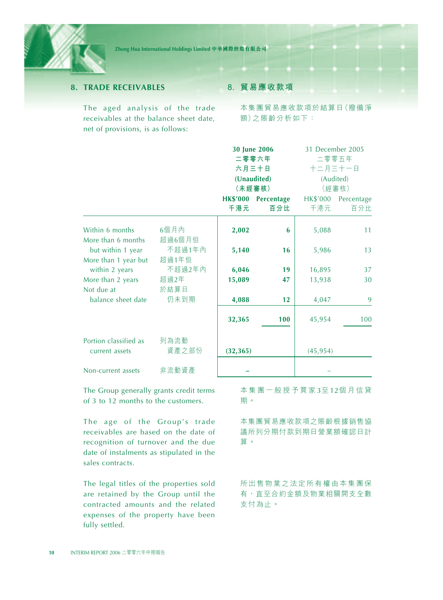

## **8. TRADE RECEIVABLES**

The aged analysis of the trade receivables at the balance sheet date, net of provisions, is as follows:

#### **8. 貿易應收款項**

本集團貿易應收款項於結算日(撥備淨 額)之賬齡分析如下:

|                                           |                 |           | 30 June 2006        |           | 31 December 2005    |
|-------------------------------------------|-----------------|-----------|---------------------|-----------|---------------------|
|                                           |                 |           | 二零零六年               |           | 二零零五年               |
|                                           |                 |           | 六月三十日               | 十二月三十一日   |                     |
|                                           |                 |           | (Unaudited)         |           | (Audited)           |
|                                           |                 |           | (未經審核)              |           | (經審核)               |
|                                           |                 |           | HK\$'000 Percentage |           | HK\$'000 Percentage |
|                                           |                 | 千港元       | 百分比                 | 千港元       | 百分比                 |
| Within 6 months<br>More than 6 months     | 6個月內<br>超過6個月但  | 2,002     | 6                   | 5,088     | 11                  |
| but within 1 year<br>More than 1 year but | 不超過1年內<br>超過1年但 | 5,140     | 16                  | 5,986     | 13                  |
| within 2 years                            | 不超過2年內          | 6,046     | 19                  | 16,895    | 37                  |
| More than 2 years                         | 超過2年            | 15,089    | 47                  | 13,938    | 30                  |
| Not due at                                | 於結算日            |           |                     |           |                     |
| balance sheet date                        | 仍未到期            | 4,088     | 12                  | 4,047     | 9                   |
|                                           |                 | 32,365    | 100                 | 45,954    | 100                 |
| Portion classified as                     | 列為流動<br>資產之部份   |           |                     |           |                     |
| current assets                            |                 | (32, 365) |                     | (45, 954) |                     |
| Non-current assets                        | 非流動資產           |           |                     |           |                     |

The Group generally grants credit terms of 3 to 12 months to the customers.

The age of the Group's trade receivables are based on the date of recognition of turnover and the due date of instalments as stipulated in the sales contracts.

The legal titles of the properties sold are retained by the Group until the contracted amounts and the related expenses of the property have been fully settled.

本集團一般授予買家 3至 12個月信貸 期。

本集團貿易應收款項之賬齡根據銷售協 議所列分期付款到期日營業額確認日計 算。

所出售物業之法定所有權由本集團保 有,直至合約金額及物業相關開支全數 支付為止。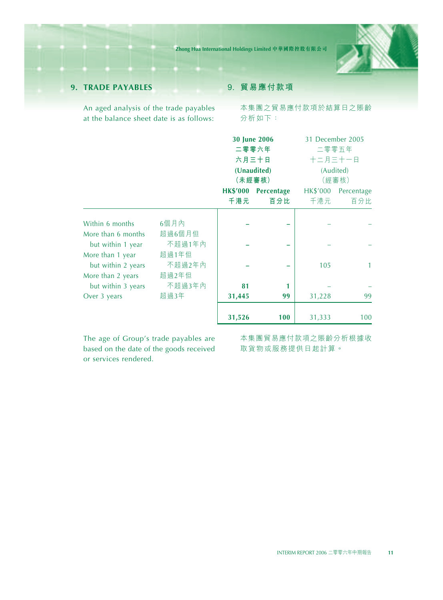

## **9. TRADE PAYABLES**

An aged analysis of the trade payables at the balance sheet date is as follows:

## **9. 貿易應付款項**

本集團之貿易應付款項於結算日之賬齡 分析如下:

|                    |        |                 | <b>30 June 2006</b> |          | 31 December 2005 |
|--------------------|--------|-----------------|---------------------|----------|------------------|
|                    |        |                 | 二零零六年               |          | 二零零五年            |
|                    |        |                 | 六月三十日               |          | 十二月三十一日          |
|                    |        |                 | (Unaudited)         |          | (Audited)        |
|                    |        |                 | (未經審核)              |          | (經審核)            |
|                    |        | <b>HK\$'000</b> | Percentage          | HK\$'000 | Percentage       |
|                    |        | 千港元             | 百分比                 | 千港元      | 百分比              |
|                    |        |                 |                     |          |                  |
| Within 6 months    | 6個月內   |                 |                     |          |                  |
| More than 6 months | 超過6個月但 |                 |                     |          |                  |
| but within 1 year  | 不超過1年內 |                 |                     |          |                  |
| More than 1 year   | 超過1年但  |                 |                     |          |                  |
| but within 2 years | 不超過2年內 |                 |                     | 105      | $\mathbf{1}$     |
| More than 2 years  | 超過2年但  |                 |                     |          |                  |
| but within 3 years | 不超過3年內 | 81              |                     |          |                  |
| Over 3 years       | 超過3年   | 31,445          | 99                  | 31,228   | 99               |
|                    |        |                 |                     |          |                  |
|                    |        | 31,526          | 100                 | 31,333   | 100              |

The age of Group's trade payables are based on the date of the goods received or services rendered.

本集團貿易應付款項之賬齡分析根據收 取貨物或服務提供日起計算。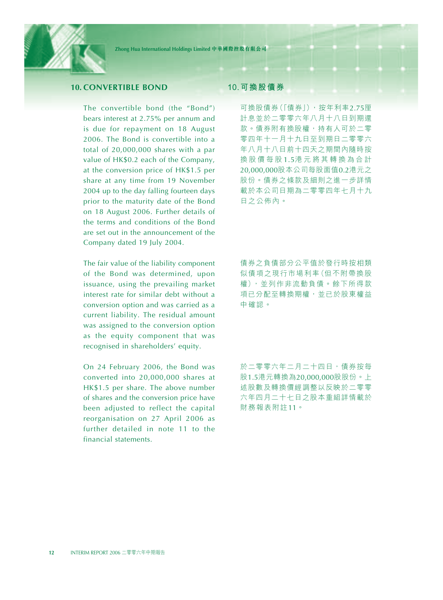

## **10. CONVERTIBLE BOND**

The convertible bond (the "Bond") bears interest at 2.75% per annum and is due for repayment on 18 August 2006. The Bond is convertible into a total of 20,000,000 shares with a par value of HK\$0.2 each of the Company, at the conversion price of HK\$1.5 per share at any time from 19 November 2004 up to the day falling fourteen days prior to the maturity date of the Bond on 18 August 2006. Further details of the terms and conditions of the Bond are set out in the announcement of the Company dated 19 July 2004.

The fair value of the liability component of the Bond was determined, upon issuance, using the prevailing market interest rate for similar debt without a conversion option and was carried as a current liability. The residual amount was assigned to the conversion option as the equity component that was recognised in shareholders' equity.

On 24 February 2006, the Bond was converted into 20,000,000 shares at HK\$1.5 per share. The above number of shares and the conversion price have been adjusted to reflect the capital reorganisation on 27 April 2006 as further detailed in note 11 to the financial statements.

#### **10.可換股債券**

可換股債券(「債券」),按年利率2.75厘 計息並於二零零六年八月十八日到期還 款。債券附有換股權,持有人可於二零 零四年十一月十九日至到期日二零零六 年八月十八日前十四天之期間內隨時按 換股價每股 1.5港元將其轉換為合計 20,000,000股本公司每股面值0.2港元之 股份。債券之條款及細則之進一步詳情 載於本公司日期為二零零四年七月十九 日之公佈內。

債券之負債部分公平值於發行時按相類 似債項之現行市場利率(但不附帶換股 權),並列作非流動負債。餘下所得款 項已分配至轉換期權,並已於股東權益 中確認。

於二零零六年二月二十四日,債券按每 股1.5港元轉換為20,000,000股股份。上 述股數及轉換價經調整以反映於二零零 六年四月二十七日之股本重組詳情載於 財務報表附註11。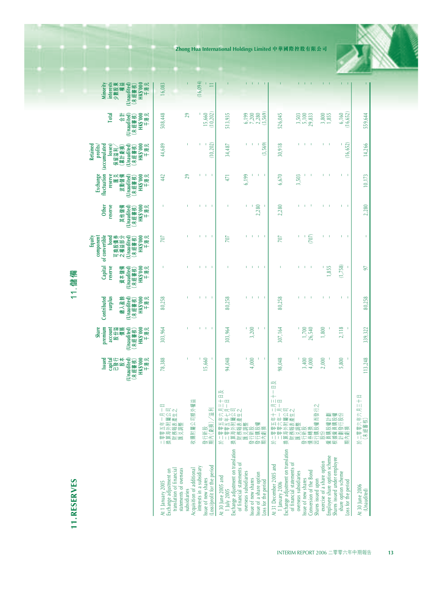**11.RESERVES 11.儲備 11.RESERVES** 

11. 儲

| Ö<br>⊞ |  |
|--------|--|
|        |  |

|                                                                                                    |                                                                                                                        | capital<br>已發行<br>股本<br>(Unaudited)<br>Issued | premium<br>份篇<br>Share<br>account<br>盟   | surplus<br>悉<br>Contributed<br>嘲<br>スポー  | reserve<br>撫<br>Capital<br>趣<br>資本                  | of convertible<br>可換股債券<br>之權益部分<br>(Unaudited)<br>component<br>bond<br>į | reserve<br>他儲備<br>Other<br>其                                   | fluctuation<br>reserve<br>医足<br><sub>又動 儲備</sub><br>Exchange<br>波動 | (accumulated<br>Retained<br>profits/<br>losses)<br>留溢利<br>【計虧損】<br>.<br>Bŵ<br>保 | 梅<br><b>Total</b>                          | interests<br>少數股東<br>權益<br>Minority    |  |
|----------------------------------------------------------------------------------------------------|------------------------------------------------------------------------------------------------------------------------|-----------------------------------------------|------------------------------------------|------------------------------------------|-----------------------------------------------------|---------------------------------------------------------------------------|----------------------------------------------------------------|--------------------------------------------------------------------|---------------------------------------------------------------------------------|--------------------------------------------|----------------------------------------|--|
|                                                                                                    |                                                                                                                        | <b>、經審核)</b><br>HK\$7000<br>千港元<br>₩          | (Unaudited)<br>(未經審核)<br>HK\$'000<br>千港元 | HK\$'000<br>千港元<br>(Unaudited)<br>(未經審核) | <b>- 經審核)</b><br>HK\$'000<br>千港元<br>Unaudited)<br>怅 | k經審核)<br>HK\$'000<br>千港元<br>₩                                             | <b>HK\$'000</b><br>千港元<br>Unaudited <sup>®</sup><br>:經書核)<br>₩ | HK\$'000<br>千港元<br>(Unaudited)<br>(未經審核)                           | HK\$'000<br>千港元<br>Unaudited)<br>經書核)<br>₩                                      | HK\$'000<br>千港元<br>Unaudited)<br>經書核)<br>₩ | HK\$'000<br>千港元<br>naudited)<br>(未經書核) |  |
| Exchange adjustment on<br>translation of financial<br>statements of overseas<br>4t 1 January 2005  | $\Box$<br>:一月一]<br><u>  鷹 公</u> 司<br>(産生之<br>五外報調子 化附近<br>零算期面<br>1   纸                                                | 78,388                                        | 303,964                                  | 80,258                                   |                                                     | 707                                                                       |                                                                | 442                                                                | 44,689                                                                          | 508,448                                    | 16,083                                 |  |
| cquisition of additional<br>subsidiaries                                                           | 司額外權益<br>医红<br>£<br>灩<br>₽                                                                                             |                                               |                                          |                                          |                                                     |                                                                           |                                                                | 29                                                                 | т                                                                               | 29                                         |                                        |  |
| Loss)/profit for the period<br>interests in a subsidiary<br>ssue of new shares                     | 莀<br>濵<br>行新股<br>內(虧損)<br>燃華                                                                                           | .660<br><u>ی</u>                              | ï                                        | Ì.<br>I                                  | T.<br>×                                             | Î,<br>f.                                                                  | ï                                                              | I                                                                  | (10, 202)<br>ï                                                                  | 15,660<br>10,202)                          | (16, 094)                              |  |
| ixchange adjustment on translation<br>4t 30 June 2005 and<br>1 July 2005                           | 幽<br>$\equiv$<br>휴프<br>年年屬產<br>大七公生<br>生年屬產<br>·二零零五:4<br>二零零零五:4階期表表<br>2.第2期務表題題題提<br>1.第2期期限期程<br>1.第2期期限<br>么<br>換 | 048<br>इं                                     | 303,964                                  | 80,258                                   | ï                                                   | ĭО                                                                        |                                                                | 471                                                                | 34,487                                                                          | 513,935                                    |                                        |  |
| of financial statements of<br>overseas subsidiaries<br>ssue of new shares                          |                                                                                                                        | 600                                           | 3,200                                    | Ï                                        |                                                     | f.                                                                        |                                                                | 6,199                                                              | Ï                                                                               | .199                                       |                                        |  |
| ssue of a share option<br>Loss for the period                                                      | 徽徽靈                                                                                                                    | J.<br>Ï                                       |                                          | I.<br>J.                                 | J.                                                  | T.<br>J.                                                                  | .280                                                           | I                                                                  | (3,569)<br>т                                                                    | 7,200<br>2,280<br>(3,569)                  |                                        |  |
| Exchange adjustment on translation<br>4t 31 December 2005 and<br>1 January 2006                    | 咚<br>$\mathbf{m}$<br>T<br>$^{+}$<br>$111$ cm<br>Œ<br>п<br>二月司之<br>十一公生                                                 | 98,048                                        | 307,164                                  | 80,258                                   | ï                                                   | 707                                                                       | 2,280                                                          | 6,670                                                              | 30,918                                                                          | 526,045                                    |                                        |  |
| of financial statements of<br>onversion of the Bond<br>overseas subsidiaries<br>ssue of new shares | 《》 換价 经管理收益 医心理学 化二氯苯二酸 医骨髓膜炎 医血管下降 医前方 医前方 医前方 医前方 医前方 医前列腺 医阴道 医心房 医心房 医心房 医心房 医心房 医心房 医心房 医心脏 医心脏 医心脏 医心脏 计中间       | 3,400<br>000                                  | 26,540<br>1,700                          | ï                                        | ï<br>т                                              | Ĩ,<br>(707)                                                               |                                                                | 3,503                                                              | T.<br>Ï                                                                         | 5,100<br>3,503<br>29,833                   |                                        |  |
| imployee share option scheme<br>exercise of a share option<br>shares issued upon                   | N<br>œ<br>際                                                                                                            | 000                                           | 800                                      | Ĩ.                                       | 855                                                 | r.                                                                        |                                                                |                                                                    | п                                                                               | ,800<br>1,855                              |                                        |  |
| shares issued under employee<br>share option scheme<br>oss for the period                          | 計援役計                                                                                                                   | Ĩ,<br>,800<br>ъń                              | 2,118                                    | ï<br>$\mathbf{I}$                        | (1,758)<br>J.                                       | $\overline{1}$<br>f.                                                      | ï<br>$\overline{\phantom{a}}$                                  | J.                                                                 | 6,652<br>É                                                                      | 6,160<br>16,652                            |                                        |  |
| 1130 June 2006<br>(Unaudited)                                                                      | $\Box$<br>盂<br>零零六年六月日<br>F經審核)<br>二零體<br>么                                                                            | 113,248                                       | 339,322                                  | 80,258                                   | $\sqrt{6}$                                          |                                                                           | 2,280                                                          | 10,173                                                             | 14,266                                                                          | 559,644                                    |                                        |  |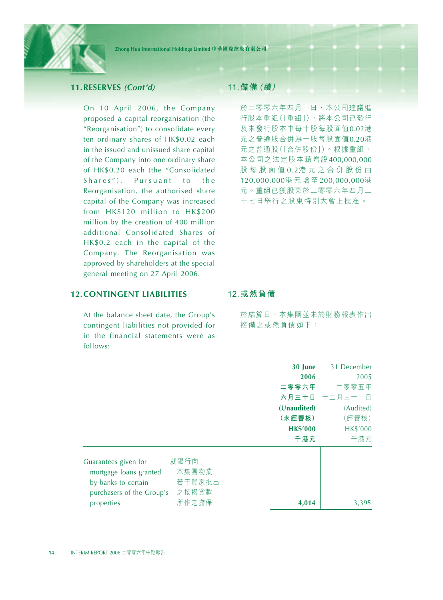

#### **11.RESERVES** *(Cont'd)*

On 10 April 2006, the Company proposed a capital reorganisation (the "Reorganisation") to consolidate every ten ordinary shares of HK\$0.02 each in the issued and unissued share capital of the Company into one ordinary share of HK\$0.20 each (the "Consolidated Shares"). Pursuant to the Reorganisation, the authorised share capital of the Company was increased from HK\$120 million to HK\$200 million by the creation of 400 million additional Consolidated Shares of HK\$0.2 each in the capital of the Company. The Reorganisation was approved by shareholders at the special general meeting on 27 April 2006.

## **12.CONTINGENT LIABILITIES**

At the balance sheet date, the Group's contingent liabilities not provided for in the financial statements were as follows:

## **11.儲備(續)**

於二零零六年四月十日,本公司建議進 行股本重組(「重組」),將本公司已發行 及未發行股本中每十股每股面值0.02港 元之普通股合併為一股每股面值0.20港 元之普通股(「合併股份」)。根據重組, 本公司之法定股本藉增設400,000,000 股每股面值 0.2港元之合併股份由 120,000,000港元增至 200,000,000港 元。重組已獲股東於二零零六年四月二 十七日舉行之股東特別大會上批准。

#### **12.或然負債**

於結算日,本集團並未於財務報表作出 撥備之或然負債如下:

|                                                                                                                                        | 30 June         | 31 December     |
|----------------------------------------------------------------------------------------------------------------------------------------|-----------------|-----------------|
|                                                                                                                                        | 2006            | 2005            |
|                                                                                                                                        | 二零零六年           | 二零零五年           |
|                                                                                                                                        |                 | 六月三十日 十二月三十一日   |
|                                                                                                                                        | (Unaudited)     | (Audited)       |
|                                                                                                                                        | (未經審核)          | (經審核)           |
|                                                                                                                                        | <b>HK\$'000</b> | <b>HK\$'000</b> |
|                                                                                                                                        | 千港元             | 千港元             |
| 就銀行向<br>Guarantees given for<br>本集團物業<br>mortgage loans granted<br>若干買家批出<br>by banks to certain<br>之按揭貸款<br>purchasers of the Group's |                 |                 |
| 所作之擔保<br>properties                                                                                                                    | 4,014           | 3,395           |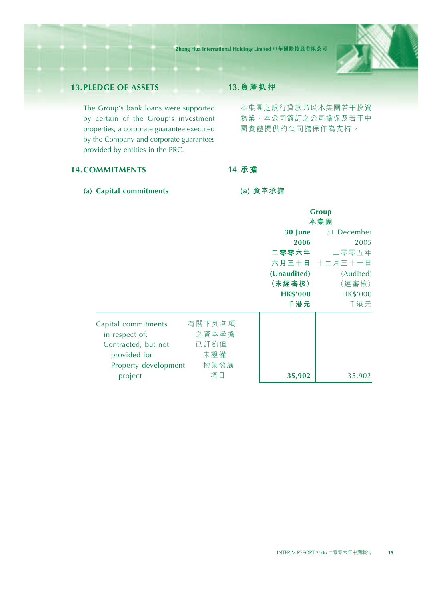

## **13.PLEDGE OF ASSETS**

The Group's bank loans were supported by certain of the Group's investment properties, a corporate guarantee executed by the Company and corporate guarantees provided by entities in the PRC.

## **13.資產抵押**

本集團之銀行貸款乃以本集團若干投資 物業、本公司簽訂之公司擔保及若干中 國實體提供的公司擔保作為支持。

## **14.COMMITMENTS**

**(a) Capital commitments**

**(a) 資本承擔**

**14.承擔**

|                      |        |                 | Group<br>本集團    |
|----------------------|--------|-----------------|-----------------|
|                      |        | 30 June         | 31 December     |
|                      |        | 2006            | 2005            |
|                      |        |                 | 二零零六年 二零零五年     |
|                      |        |                 | 六月三十日 十二月三十一日   |
|                      |        | (Unaudited)     | (Audited)       |
|                      |        | (未經審核)          | (經審核)           |
|                      |        | <b>HK\$'000</b> | <b>HK\$'000</b> |
|                      |        | 千港元             | 千港元             |
| Capital commitments  | 有關下列各項 |                 |                 |
| in respect of:       | 之資本承擔: |                 |                 |
| Contracted, but not  | 已訂約但   |                 |                 |
| provided for         | 未撥備    |                 |                 |
| Property development | 物業發展   |                 |                 |
| project              | 項目     | 35,902          | 35,902          |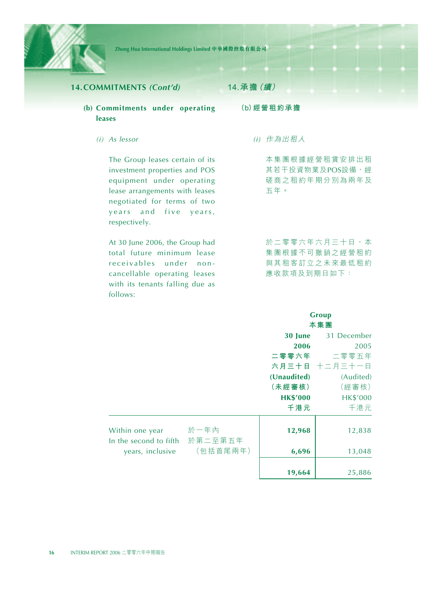

## **14.COMMITMENTS** *(Cont'd)*

- **(b) Commitments under operating leases**
	- *(i) As lessor*

The Group leases certain of its investment properties and POS equipment under operating lease arrangements with leases negotiated for terms of two years and five years, respectively.

At 30 June 2006, the Group had total future minimum lease receivables under noncancellable operating leases with its tenants falling due as follows:

**14.承擔(續)**

**(b)經營租約承擔**

*(i)* 作為出租人

本集團根據經營租賃安排出租 其若干投資物業及POS設備,經 磋商之租約年期分別為兩年及 五年。

於二零零六年六月三十日,本 集團根據不可撤銷之經營租約 與其租客訂立之未來最低租約 應收款項及到期日如下:

#### **Group 本集團**

|                                           |                 | 30 June         | 31 December     |
|-------------------------------------------|-----------------|-----------------|-----------------|
|                                           |                 | 2006            | 2005            |
|                                           |                 | 二零零六年           | 二零零五年           |
|                                           |                 |                 | 六月三十日 十二月三十一日   |
|                                           |                 | (Unaudited)     | (Audited)       |
|                                           |                 | (未經審核)          | (經審核)           |
|                                           |                 | <b>HK\$'000</b> | <b>HK\$'000</b> |
|                                           |                 | 千港元             | 千港元             |
| Within one year<br>In the second to fifth | 於一年內<br>於第二至第五年 | 12,968          | 12,838          |
| years, inclusive                          | (包括首尾兩年)        | 6,696           | 13,048          |
|                                           |                 | 19,664          | 25,886          |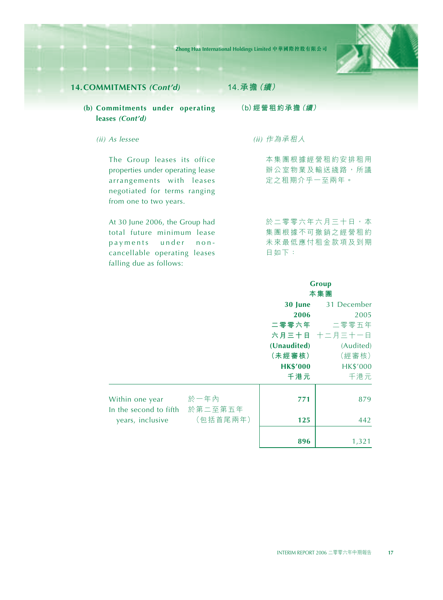**Zhong Hua International Holdings Limited 中華國際控股有限公司**



## **14.COMMITMENTS** *(Cont'd)*

## **(b) Commitments under operating leases** *(Cont'd)*

*(ii) As lessee*

The Group leases its office properties under operating lease arrangements with leases negotiated for terms ranging from one to two years.

At 30 June 2006, the Group had total future minimum lease payments under noncancellable operating leases falling due as follows:

**14.承擔(續)**

**(b)經營租約承擔(續)**

*(ii)* 作為承租人

本集團根據經營租約安排租用 辦公室物業及輸送綫路,所議 定之租期介乎一至兩年。

於二零零六年六月三十日,本 集團根據不可撤銷之經營租約 未來最低應付租金款項及到期 日如下:

**Group**

|                                           |                 |                 | 本集團             |
|-------------------------------------------|-----------------|-----------------|-----------------|
|                                           |                 | 30 June         | 31 December     |
|                                           |                 | 2006            | 2005            |
|                                           |                 |                 | 二零零六年 二零零五年     |
|                                           |                 |                 | 六月三十日 十二月三十一日   |
|                                           |                 | (Unaudited)     | (Audited)       |
|                                           |                 | (未經審核)          | (經審核)           |
|                                           |                 | <b>HK\$'000</b> | <b>HK\$'000</b> |
|                                           |                 | 千港元             | 千港元             |
| Within one year<br>In the second to fifth | 於一年內<br>於第二至第五年 | 771             | 879             |
| years, inclusive                          | (包括首尾兩年)        | 125             | 442             |
|                                           |                 | 896             | 1,321           |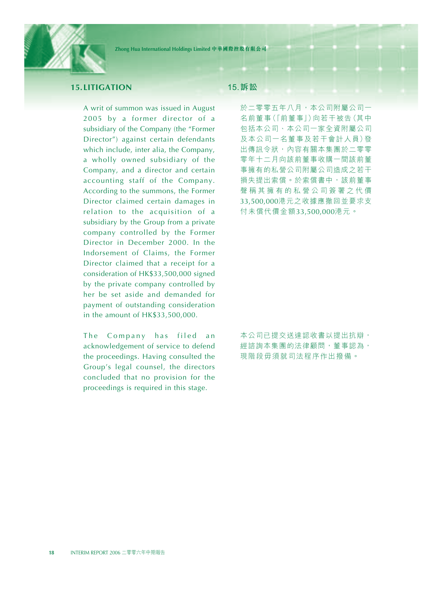

## **15.LITIGATION**

A writ of summon was issued in August 2005 by a former director of a subsidiary of the Company (the "Former Director") against certain defendants which include, inter alia, the Company, a wholly owned subsidiary of the Company, and a director and certain accounting staff of the Company. According to the summons, the Former Director claimed certain damages in relation to the acquisition of a subsidiary by the Group from a private company controlled by the Former Director in December 2000. In the Indorsement of Claims, the Former Director claimed that a receipt for a consideration of HK\$33,500,000 signed by the private company controlled by her be set aside and demanded for payment of outstanding consideration in the amount of HK\$33,500,000.

The Company has filed an acknowledgement of service to defend the proceedings. Having consulted the Group's legal counsel, the directors concluded that no provision for the proceedings is required in this stage.

## **15.訴訟**

於二零零五年八月,本公司附屬公司一 名前董事(「前董事」)向若干被告(其中 包括本公司、本公司一家全資附屬公司 及本公司一名董事及若干會計人員)發 出傳訊令狀,內容有關本集團於二零零 零年十二月向該前董事收購一間該前董 事擁有的私營公司附屬公司造成之若干 損失提出索償。於索償書中,該前董事 聲稱其擁有的私營公司簽署之代價 33,500,000港元之收據應撤回並要求支 付未償代價金額33,500,000港元。

本公司已提交送達認收書以提出抗辯, 經諮詢本集團的法律顧問,董事認為, 現階段毋須就司法程序作出撥備。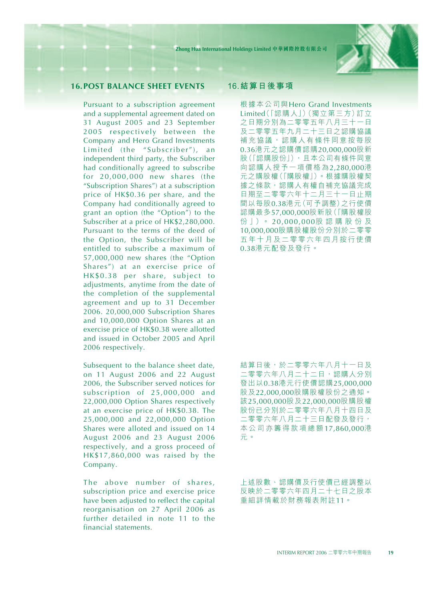

## **16.POST BALANCE SHEET EVENTS**

Pursuant to a subscription agreement and a supplemental agreement dated on 31 August 2005 and 23 September 2005 respectively between the Company and Hero Grand Investments Limited (the "Subscriber"), an independent third party, the Subscriber had conditionally agreed to subscribe for 20,000,000 new shares (the "Subscription Shares") at a subscription price of HK\$0.36 per share, and the Company had conditionally agreed to grant an option (the "Option") to the Subscriber at a price of HK\$2,280,000. Pursuant to the terms of the deed of the Option, the Subscriber will be entitled to subscribe a maximum of 57,000,000 new shares (the "Option Shares") at an exercise price of HK\$0.38 per share, subject to adjustments, anytime from the date of the completion of the supplemental agreement and up to 31 December 2006. 20,000,000 Subscription Shares and 10,000,000 Option Shares at an exercise price of HK\$0.38 were allotted and issued in October 2005 and April 2006 respectively.

Subsequent to the balance sheet date, on 11 August 2006 and 22 August 2006, the Subscriber served notices for subscription of 25,000,000 and 22,000,000 Option Shares respectively at an exercise price of HK\$0.38. The 25,000,000 and 22,000,000 Option Shares were alloted and issued on 14 August 2006 and 23 August 2006 respectively, and a gross proceed of HK\$17,860,000 was raised by the Company.

The above number of shares, subscription price and exercise price have been adjusted to reflect the capital reorganisation on 27 April 2006 as further detailed in note 11 to the financial statements.

#### **16.結算日後事項**

根據本公司與Hero Grand Investments Limited(「認購人」)(獨立第三方)訂立 之日期分別為二零零五年八月三十一日 及二零零五年九月二十三日之認購協議 補充協議,認購人有條件同意按每股 0.36港元之認購價認購20,000,000股新 股(「認購股份」),且本公司有條件同意 向認購人授予一項價格為2,280,000港 元之購股權(「購股權」)。根據購股權契 據之條款,認購人有權自補充協議完成 日期至二零零六年十二月三十一日止期 間以每股0.38港元(可予調整)之行使價 認購最多57,000,000股新股(「購股權股 份 」)。 20,000,000股認購股份及 10,000,000股購股權股份分別於二零零 五年十月及二零零六年四月按行使價 0.38港元配發及發行。

結算日後,於二零零六年八月十一日及 二零零六年八月二十二日,認購人分別 發出以0.38港元行使價認購25,000,000 股及22,000,000股購股權股份之通知。 該25,000,000股及22,000,000股購股權 股份已分別於二零零六年八月十四日及 二零零六年八月二十三日配發及發行, 本公司亦籌得款項總額 17,860,000港 元。

上述股數、認購價及行使價已經調整以 反映於二零零六年四月二十七日之股本 重組詳情載於財務報表附註11。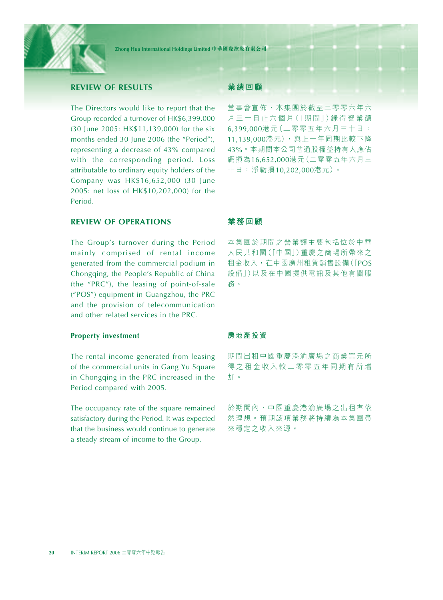

## **REVIEW OF RESULTS**

The Directors would like to report that the Group recorded a turnover of HK\$6,399,000 (30 June 2005: HK\$11,139,000) for the six months ended 30 June 2006 (the "Period"), representing a decrease of 43% compared with the corresponding period. Loss attributable to ordinary equity holders of the Company was HK\$16,652,000 (30 June 2005: net loss of HK\$10,202,000) for the Period.

## **REVIEW OF OPERATIONS**

The Group's turnover during the Period mainly comprised of rental income generated from the commercial podium in Chongqing, the People's Republic of China (the "PRC"), the leasing of point-of-sale ("POS") equipment in Guangzhou, the PRC and the provision of telecommunication and other related services in the PRC.

#### **Property investment**

The rental income generated from leasing of the commercial units in Gang Yu Square in Chongqing in the PRC increased in the Period compared with 2005.

The occupancy rate of the square remained satisfactory during the Period. It was expected that the business would continue to generate a steady stream of income to the Group.

#### **業績回顧**

董事會宣佈,本集團於截至二零零六年六 月 三 十日 止六 個 月(「期間」)錄 得 營 業 額 6,399,000港元(二零零五年六月三十日: 11,139,000港元),與上一年同期比較下降 43%。本期間本公司普通股權益持有人應佔 虧損為16,652,000港元(二零零五年六月三 十日:淨虧損10,202,000港元)。

#### **業務回顧**

本集團於期間之營業額主要包括位於中華 人民共和國(「中國」)重慶之商場所帶來之 租金收入,在中國廣州租賃銷售設備(「POS 設備」)以及在中國提供電訊及其他有關服 務。

#### **房地產投資**

期間出租中國重慶港渝廣場之商業單元所 得之租金收入較二零零五年同期有所增 加。

於期間內,中國重慶港渝廣場之出租率依 然理想。預期該項業務將持續為本集團帶 來穩定之收入來源。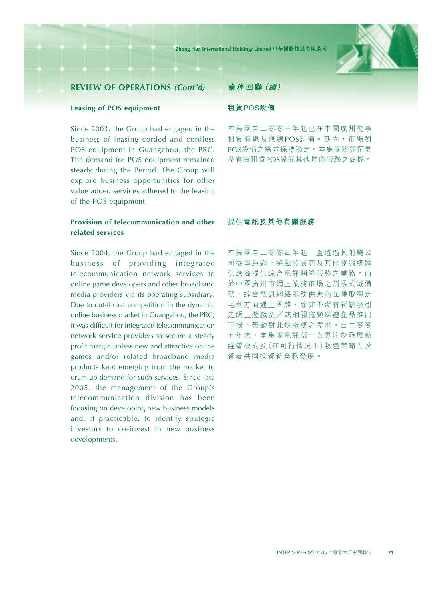

#### **Leasing of POS equipment**

Since 2003, the Group had engaged in the business of leasing corded and cordless POS equipment in Guangzhou, the PRC. The demand for POS equipment remained steady during the Period. The Group will explore business opportunities for other value added services adhered to the leasing of the POS equipment.

## **Provision of telecommunication and other related services**

Since 2004, the Group had engaged in the business of providing integrated telecommunication network services to online game developers and other broadband media providers via its operating subsidiary. Due to cut-throat competition in the dynamic online business market in Guangzhou, the PRC, it was difficult for integrated telecommunication network service providers to secure a steady profit margin unless new and attractive online games and/or related broadband media products kept emerging from the market to drum up demand for such services. Since late 2005, the management of the Group's telecommunication division has been focusing on developing new business models and, if practicable, to identify strategic investors to co-invest in new business developments.

#### **業務回顧(續)**

#### **租賃POS設備**

本集團自二零零三年起已在中國廣州從事 租賃有線及無線POS設備。期內,市場對 POS設備之需求保持穩定。本集團將開拓更 多有關租賃POS設備其他增值服務之商機。

#### **提供電訊及其他有關服務**

本集團自二零零四年起一直透過其附屬公 司從事為網上遊戲發展商及其他寬頻媒體 供應商提供綜合電訊網絡服務之業務。由 於中國廣州市網上業務市場之割喉式減價 戰,綜合電訊網絡服務供應商在賺取穩定 毛利方面遇上困難,除非不斷有新穎吸引 之網上遊戲及/或相關寬頻媒體產品推出 市場,帶動對此類服務之需求。自二零零 五年末,本集團電訊部一直專注於發展新 經營模式及(在可行情況下)物色策略性投 資者共同投資新業務發展。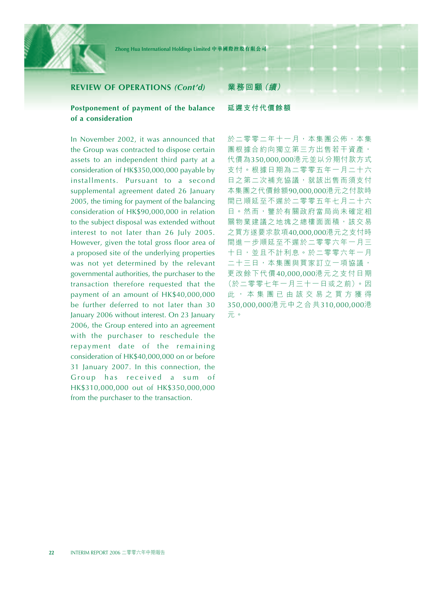

#### **Postponement of payment of the balance of a consideration**

In November 2002, it was announced that the Group was contracted to dispose certain assets to an independent third party at a consideration of HK\$350,000,000 payable by installments. Pursuant to a second supplemental agreement dated 26 January 2005, the timing for payment of the balancing consideration of HK\$90,000,000 in relation to the subject disposal was extended without interest to not later than 26 July 2005. However, given the total gross floor area of a proposed site of the underlying properties was not yet determined by the relevant governmental authorities, the purchaser to the transaction therefore requested that the payment of an amount of HK\$40,000,000 be further deferred to not later than 30 January 2006 without interest. On 23 January 2006, the Group entered into an agreement with the purchaser to reschedule the repayment date of the remaining consideration of HK\$40,000,000 on or before 31 January 2007. In this connection, the Group has received a sum of HK\$310,000,000 out of HK\$350,000,000 from the purchaser to the transaction.

#### **業務回顧(續)**

#### **延遲支付代價餘額**

於二零零二年十一月,本集團公佈,本集 團根據合約向獨立第三方出售若干資產, 代價為350,000,000港元並以分期付款方式 支付。根據日期為二零零五年一月二十六 日之第二次補充協議,就該出售而須支付 本集團之代價餘額90,000,000港元之付款時 間已順延至不遲於二零零五年七月二十六 日。然而,鑒於有關政府當局尚未確定相 關物業建議之地塊之總樓面面積,該交易 之買方遂要求款項40,000,000港元之支付時 間進一步順延至不遲於二零零六年一月三 十日,並且不計利息。於二零零六年一月 二十三日,本集團與買家訂立一項協議, 更改餘下代價40,000,000港元之支付日期 (於二零零七年一月三十一日或之前)。因 此,本集團已由該交易之買方獲得 350,000,000港元中之合共310,000,000港 元。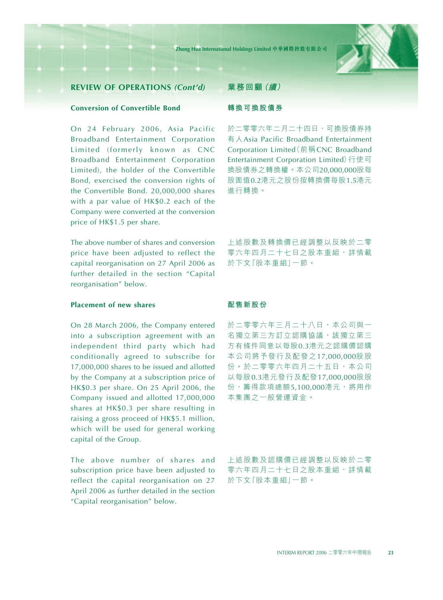

## **Conversion of Convertible Bond**

On 24 February 2006, Asia Pacific Broadband Entertainment Corporation Limited (formerly known as CNC Broadband Entertainment Corporation Limited), the holder of the Convertible Bond, exercised the conversion rights of the Convertible Bond. 20,000,000 shares with a par value of HK\$0.2 each of the Company were converted at the conversion price of HK\$1.5 per share.

The above number of shares and conversion price have been adjusted to reflect the capital reorganisation on 27 April 2006 as further detailed in the section "Capital reorganisation" below.

## **Placement of new shares**

On 28 March 2006, the Company entered into a subscription agreement with an independent third party which had conditionally agreed to subscribe for 17,000,000 shares to be issued and allotted by the Company at a subscription price of HK\$0.3 per share. On 25 April 2006, the Company issued and allotted 17,000,000 shares at HK\$0.3 per share resulting in raising a gross proceed of HK\$5.1 million, which will be used for general working capital of the Group.

The above number of shares and subscription price have been adjusted to reflect the capital reorganisation on 27 April 2006 as further detailed in the section "Capital reorganisation" below.

#### **業務回顧(續)**

#### **轉換可換股債券**

於二零零六年二月二十四日,可換股債券持 有人Asia Pacific Broadband Entertainment Corporation Limited(前稱CNC Broadband Entertainment Corporation Limited)行使可 換股債券之轉換權。本公司20,000,000股每 股面值0.2港元之股份按轉換價每股1.5港元 進行轉換。

上述股數及轉換價已經調整以反映於二零 零六年四月二十七日之股本重組,詳情載 於下文「股本重組」一節。

#### **配售新股份**

於二零零六年三月二十八日,本公司與一 名獨立第三方訂立認購協議,該獨立第三 方有條件同意以每股0.3港元之認購價認購 本公司將予發行及配發之17,000,000股股 份。於二零零六年四月二十五日,本公司 以每股0.3港元發行及配發17,000,000股股 份,籌得款項總額5,100,000港元,將用作 本集團之一般營運資金。

上述股數及認購價已經調整以反映於二零 零六年四月二十七日之股本重組,詳情載 於下文「股本重組」一節。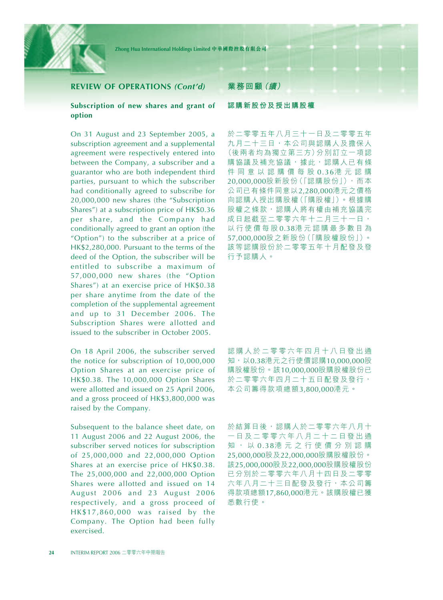

#### **Subscription of new shares and grant of option**

On 31 August and 23 September 2005, a subscription agreement and a supplemental agreement were respectively entered into between the Company, a subscriber and a guarantor who are both independent third parties, pursuant to which the subscriber had conditionally agreed to subscribe for 20,000,000 new shares (the "Subscription Shares") at a subscription price of HK\$0.36 per share, and the Company had conditionally agreed to grant an option (the "Option") to the subscriber at a price of HK\$2,280,000. Pursuant to the terms of the deed of the Option, the subscriber will be entitled to subscribe a maximum of 57,000,000 new shares (the "Option Shares") at an exercise price of HK\$0.38 per share anytime from the date of the completion of the supplemental agreement and up to 31 December 2006. The Subscription Shares were allotted and issued to the subscriber in October 2005.

On 18 April 2006, the subscriber served the notice for subscription of 10,000,000 Option Shares at an exercise price of HK\$0.38. The 10,000,000 Option Shares were allotted and issued on 25 April 2006, and a gross proceed of HK\$3,800,000 was raised by the Company.

Subsequent to the balance sheet date, on 11 August 2006 and 22 August 2006, the subscriber served notices for subscription of 25,000,000 and 22,000,000 Option Shares at an exercise price of HK\$0.38. The 25,000,000 and 22,000,000 Option Shares were allotted and issued on 14 August 2006 and 23 August 2006 respectively, and a gross proceed of HK\$17,860,000 was raised by the Company. The Option had been fully exercised.

## **業務回顧(續)**

#### **認購新股份及授出購股權**

於二零零五年八月三十一日及二零零五年 九月二十三日,本公司與認購人及擔保人 (後兩者均為獨立第三方)分別訂立一項認 購協議及補充協議,據此,認購人已有條 件同意以認購價每股 0.36港元認購 20,000,000股新股份(「認購股份」),而本 公司已有條件同意以2,280,000港元之價格 向認購人授出購股權(「購股權」)。根據購 股權之條款,認購人將有權由補充協議完 成日起截至二零零六年十二月三十一日, 以行使價每股 0.38港元認購最多數目為 57,000,000股之新股份(「購股權股份」)。 該等認購股份於二零零五年十月配發及發 行予認購人。

認購人於二零零六年四月十八日發出通 知,以0.38港元之行使價認購10,000,000股 購股權股份。該10,000,000股購股權股份已 於二零零六年四月二十五日配發及發行, 本公司籌得款項總額3,800,000港元。

於結算日後,認購人於二零零六年八月十 一日及二零零六年八月二十二日發出通 知,以 0.38港元之行使價分別認購 25,000,000股及22,000,000股購股權股份。 該25,000,000股及22,000,000股購股權股份 已分別於二零零六年八月十四日及二零零 六年八月二十三日配發及發行,本公司籌 得款項總額17,860,000港元。該購股權已獲 悉數行使。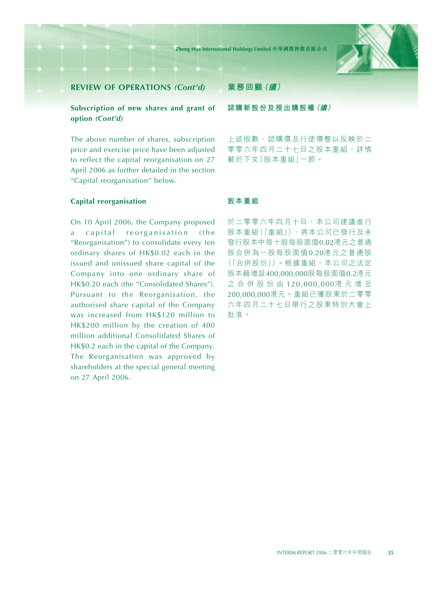

## **Subscription of new shares and grant of option** *(Cont'd)*

The above number of shares, subscription price and exercise price have been adjusted to reflect the capital reorganisation on 27 April 2006 as further detailed in the section "Capital reorganisation" below.

#### **Capital reorganisation**

On 10 April 2006, the Company proposed a capital reorganisation (the "Reorganisation") to consolidate every ten ordinary shares of HK\$0.02 each in the issued and unissued share capital of the Company into one ordinary share of HK\$0.20 each (the "Consolidated Shares"). Pursuant to the Reorganisation, the authorised share capital of the Company was increased from HK\$120 million to HK\$200 million by the creation of 400 million additional Consolidated Shares of HK\$0.2 each in the capital of the Company. The Reorganisation was approved by shareholders at the special general meeting on 27 April 2006.

#### **業務回顧(續)**

**認購新股份及授出購股權(續)**

上述股數、認購價及行使價整以反映於二 零零六年四月二十七日之股本重組,詳情 載於下文「股本重組」一節。

#### **股本重組**

於二零零六年四月十日,本公司建議進行 股本重組(「重組」),將本公司已發行及未 發行股本中每十股每股面值0.02港元之普通 股合併為一股每股面值0.20港元之普通股 (「合併股份」)。根據重組,本公司之法定 股本藉增設400,000,000股每股面值0.2港元 之合併股份由 120,000,000港元增至 200,000,000港元。重組已獲股東於二零零 六年四月二十七日舉行之股東特別大會上 批准。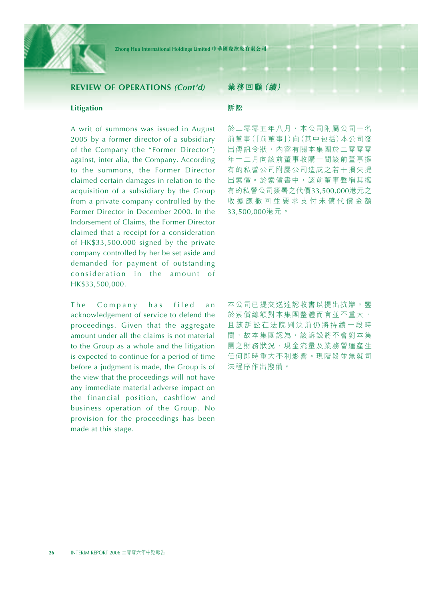

#### **Litigation**

A writ of summons was issued in August 2005 by a former director of a subsidiary of the Company (the "Former Director") against, inter alia, the Company. According to the summons, the Former Director claimed certain damages in relation to the acquisition of a subsidiary by the Group from a private company controlled by the Former Director in December 2000. In the Indorsement of Claims, the Former Director claimed that a receipt for a consideration of HK\$33,500,000 signed by the private company controlled by her be set aside and demanded for payment of outstanding consideration in the amount of HK\$33,500,000.

The Company has filed an acknowledgement of service to defend the proceedings. Given that the aggregate amount under all the claims is not material to the Group as a whole and the litigation is expected to continue for a period of time before a judgment is made, the Group is of the view that the proceedings will not have any immediate material adverse impact on the financial position, cashflow and business operation of the Group. No provision for the proceedings has been made at this stage.

#### **業務回顧(續)**

#### **訴訟**

於二零零五年八月,本公司附屬公司一名 前董事(「前董事」)向(其中包括)本公司發 出傳訊令狀,內容有關本集團於二零零零 年十二月向該前董事收購一間該前董事擁 有的私營公司附屬公司造成之若干損失提 出索償。於索償書中,該前董事聲稱其擁 有的私營公司簽署之代價33,500,000港元之 收據應撤回並要求支付未償代價金額 33,500,000港元。

本公司已提交送達認收書以提出抗辯。鑒 於索償總額對本集團整體而言並不重大, 且該訴訟在法院判決前仍將持續一段時 間,故本集團認為,該訴訟將不會對本集 團之財務狀況、現金流量及業務營運產生 任何即時重大不利影響。現階段並無就司 法程序作出撥備。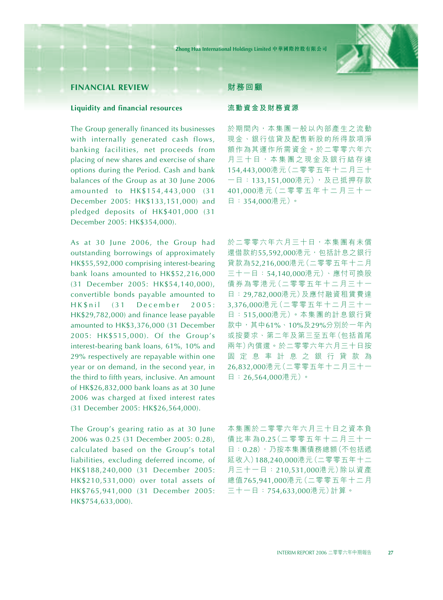

## **FINANCIAL REVIEW**

#### **Liquidity and financial resources**

The Group generally financed its businesses with internally generated cash flows, banking facilities, net proceeds from placing of new shares and exercise of share options during the Period. Cash and bank balances of the Group as at 30 June 2006 amounted to HK\$154,443,000 (31 December 2005: HK\$133,151,000) and pledged deposits of HK\$401,000 (31 December 2005: HK\$354,000).

As at 30 June 2006, the Group had outstanding borrowings of approximately HK\$55,592,000 comprising interest-bearing bank loans amounted to HK\$52,216,000 (31 December 2005: HK\$54,140,000), convertible bonds payable amounted to HK\$nil (31 December 2005: HK\$29,782,000) and finance lease payable amounted to HK\$3,376,000 (31 December 2005: HK\$515,000). Of the Group's interest-bearing bank loans, 61%, 10% and 29% respectively are repayable within one year or on demand, in the second year, in the third to fifth years, inclusive. An amount of HK\$26,832,000 bank loans as at 30 June 2006 was charged at fixed interest rates (31 December 2005: HK\$26,564,000).

The Group's gearing ratio as at 30 June 2006 was 0.25 (31 December 2005: 0.28), calculated based on the Group's total liabilities, excluding deferred income, of HK\$188,240,000 (31 December 2005: HK\$210,531,000) over total assets of HK\$765,941,000 (31 December 2005: HK\$754,633,000).

#### **財務回顧**

#### **流動資金及財務資源**

於期間內,本集團一般以內部產生之流動 現金、銀行信貸及配售新股的所得款項淨 額作為其運作所需資金。於二零零六年六 月三十日,本集團之現金及銀行結存達 154,443,000港元(二零零五年十二月三十 一日:133,151,000港元),及已抵押存款 401,000港 元(二 零 零 五 年 十 二 月 三 十 一 日:354,000港元)。

於二零零六年六月三十日,本集團有未償 還借款約55,592,000港元,包括計息之銀行 貸款為52,216,000港元(二零零五年十二月 三十一日:54,140,000港元)、應付可換股 債券為零港元(二零零五年十二月三十一 日:29,782,000港元)及應付融資租賃費達 3,376,000港元(二零零五年十二月三十一 日:515,000港元)。本集團的計息銀行貸 款中,其中61%、10%及29%分別於一年內 或按要求、第二年及第三至五年(包括首尾 兩年)內償還。於二零零六年六月三十日按 固定息率計息之銀行貸款為 26,832,000港元(二零零五年十二月三十一 日:26,564,000港元)。

本集團於二零零六年六月三十日之資本負 債比率為0.25(二零零五年十二月三十一 日:0.28),乃按本集團債務總額(不包括遞 延收入)188,240,000港元(二零零五年十二 月三十一日:210,531,000港元)除以資產 總值765,941,000港元(二零零五年十二月 三十一日:754,633,000港元)計算。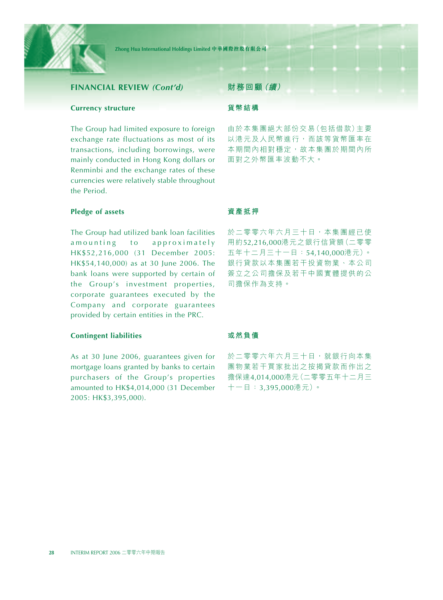

### **FINANCIAL REVIEW** *(Cont'd)*

#### **Currency structure**

The Group had limited exposure to foreign exchange rate fluctuations as most of its transactions, including borrowings, were mainly conducted in Hong Kong dollars or Renminbi and the exchange rates of these currencies were relatively stable throughout the Period.

#### **Pledge of assets**

The Group had utilized bank loan facilities amounting to approximately HK\$52,216,000 (31 December 2005: HK\$54,140,000) as at 30 June 2006. The bank loans were supported by certain of the Group's investment properties, corporate guarantees executed by the Company and corporate guarantees provided by certain entities in the PRC.

#### **Contingent liabilities**

As at 30 June 2006, guarantees given for mortgage loans granted by banks to certain purchasers of the Group's properties amounted to HK\$4,014,000 (31 December 2005: HK\$3,395,000).

#### **財務回顧(續)**

#### **貨幣結構**

由於本集團絕大部份交易(包括借款)主要 以港元及人民幣進行,而該等貨幣匯率在 本期間內相對穩定,故本集團於期間內所 面對之外幣匯率波動不大。

#### **資產抵押**

於二零零六年六月三十日,本集團經已使 用約52,216,000港元之銀行信貸額(二零零 五年十二月三十一日:54,140,000港元)。 銀行貸款以本集團若干投資物業、本公司 簽立之公司擔保及若干中國實體提供的公 司擔保作為支持。

#### **或然負債**

於二零零六年六月三十日,就銀行向本集 團物業若干買家批出之按揭貸款而作出之 擔保達4,014,000港元(二零零五年十二月三 十一日:3,395,000港元)。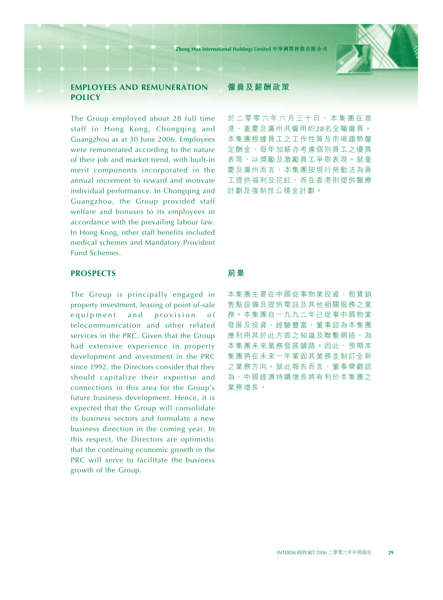

## **EMPLOYEES AND REMUNERATION POLICY**

The Group employed about 28 full time staff in Hong Kong, Chongqing and Guangzhou as at 30 June 2006. Employees were remunerated according to the nature of their job and market trend, with built-in merit components incorporated in the annual increment to reward and motivate individual performance. In Chongqing and Guangzhou, the Group provided staff welfare and bonuses to its employees in accordance with the prevailing labour law. In Hong Kong, other staff benefits included medical schemes and Mandatory Provident Fund Schemes.

## **PROSPECTS**

The Group is principally engaged in property investment, leasing of point-of-sale equipment and provision of telecommunication and other related services in the PRC. Given that the Group had extensive experience in property development and investment in the PRC since 1992, the Directors consider that they should capitalize their expertise and connections in this area for the Group's future business development. Hence, it is expected that the Group will consolidate its business sectors and formulate a new business direction in the coming year. In this respect, the Directors are optimistic that the continuing economic growth in the PRC will serve to facilitate the business growth of the Group.

#### **僱員及薪酬政策**

於二零零六年六月三十日,本集團在香 港、重慶及廣州共僱用約28名全職僱員。 本集團根據員工之工作性質及市場趨勢釐 定酬金,每年加薪亦考慮個別員工之優異 表現,以獎勵及激勵員工爭取表現。就重 慶及廣州而言,本集團按現行勞動法為員 工提供福利及花紅,而在香港則提供醫療 計劃及強制性公積金計劃。

#### **前景**

本集團主要在中國從事物業投資、租賃銷 售點設備及提供電訊及其他相關服務之業 務。本集團自一九九二年已從事中國物業 發展及投資,經驗豐富,董事認為本集團 應利用其於此方面之知識及聯繫網絡,為 本集團未來業務發展鋪路。因此,預期本 集團將在未來一年鞏固其業務並制訂全新 之業務方向。就此報告而言,董事樂觀認 為,中國經濟持續增長將有利於本集團之 業務增長。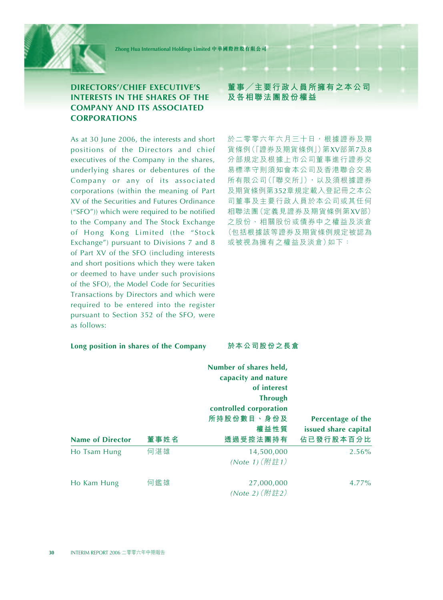## **DIRECTORS'/CHIEF EXECUTIVE'S INTERESTS IN THE SHARES OF THE COMPANY AND ITS ASSOCIATED CORPORATIONS**

As at 30 June 2006, the interests and short positions of the Directors and chief executives of the Company in the shares, underlying shares or debentures of the Company or any of its associated corporations (within the meaning of Part XV of the Securities and Futures Ordinance ("SFO")) which were required to be notified to the Company and The Stock Exchange of Hong Kong Limited (the "Stock Exchange") pursuant to Divisions 7 and 8 of Part XV of the SFO (including interests and short positions which they were taken or deemed to have under such provisions of the SFO), the Model Code for Securities Transactions by Directors and which were required to be entered into the register pursuant to Section 352 of the SFO, were as follows:

#### **Long position in shares of the Company**

**董事/主要行政人員所擁有之本公司 及各相聯法團股份權益**

於二零零六年六月三十日,根據證券及期 貨條例(「證券及期貨條例」)第XV部第7及8 分部規定及根據上市公司董事進行證券交 易標準守則須知會本公司及香港聯合交易 所有限公司(「聯交所」),以及須根據證券 及期貨條例第352章規定載入登記冊之本公 司董事及主要行政人員於本公司或其任何 相聯法團(定義見證券及期貨條例第XV部) 之股份、相關股份或債券中之權益及淡倉 (包括根據該等證券及期貨條例規定被認為 或被視為擁有之權益及淡倉)如下:

**於本公司股份之長倉**

|                         |      | Number of shares held,<br>capacity and nature<br>of interest |                      |
|-------------------------|------|--------------------------------------------------------------|----------------------|
|                         |      | <b>Through</b>                                               |                      |
|                         |      | controlled corporation                                       |                      |
|                         |      | 所持股份數目、身份及                                                   | Percentage of the    |
|                         |      | 權益性質                                                         | issued share capital |
| <b>Name of Director</b> | 董事姓名 | 透過受控法團持有                                                     | 佔已發行股本百分比            |
| Ho Tsam Hung            | 何湛雄  | 14,500,000                                                   | 2.56%                |
|                         |      | (Note 1) $(\mathbb{M} \# 1)$                                 |                      |
| Ho Kam Hung             | 何鑑雄  | 27,000,000                                                   | 4.77%                |
|                         |      | (Note 2) (附註2)                                               |                      |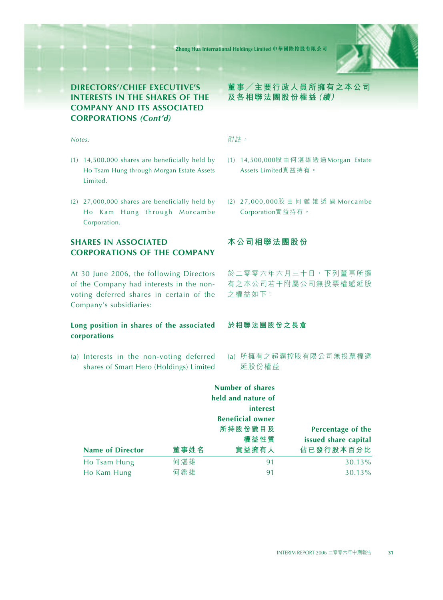

## **DIRECTORS'/CHIEF EXECUTIVE'S INTERESTS IN THE SHARES OF THE COMPANY AND ITS ASSOCIATED CORPORATIONS** *(Cont'd)*

#### *Notes:*

- (1) 14,500,000 shares are beneficially held by Ho Tsam Hung through Morgan Estate Assets Limited.
- (2) 27,000,000 shares are beneficially held by Ho Kam Hung through Morcambe Corporation.

## **SHARES IN ASSOCIATED CORPORATIONS OF THE COMPANY**

At 30 June 2006, the following Directors of the Company had interests in the nonvoting deferred shares in certain of the Company's subsidiaries:

#### **Long position in shares of the associated corporations**

(a) Interests in the non-voting deferred shares of Smart Hero (Holdings) Limited **董事/主要行政人員所擁有之本公司 及各相聯法團股份權益(續)**

#### 附註:

- (1) 14,500,000股由何湛雄透過 Morgan Estate Assets Limited實益持有。
- (2) 27,000,000股由何鑑雄透過 Morcambe Corporation實益持有。

## **本公司相聯法團股份**

於二零零六年六月三十日,下列董事所擁 有之本公司若干附屬公司無投票權遞延股 之權益如下:

#### **於相聯法團股份之長倉**

(a) 所擁有之超霸控股有限公司無投票權遞 延股份權益

|                         |      | <b>Number of shares</b> |                      |
|-------------------------|------|-------------------------|----------------------|
|                         |      | held and nature of      |                      |
|                         |      | interest                |                      |
|                         |      | <b>Beneficial owner</b> |                      |
|                         |      | 所持股份數目及                 | Percentage of the    |
|                         |      | 權益性質                    | issued share capital |
| <b>Name of Director</b> | 董事姓名 | 實益擁有人                   | 佔已發行股本百分比            |
| Ho Tsam Hung            | 何湛雄  | 91                      | 30.13%               |
| Ho Kam Hung             | 何鑑雄  | 91                      | 30.13%               |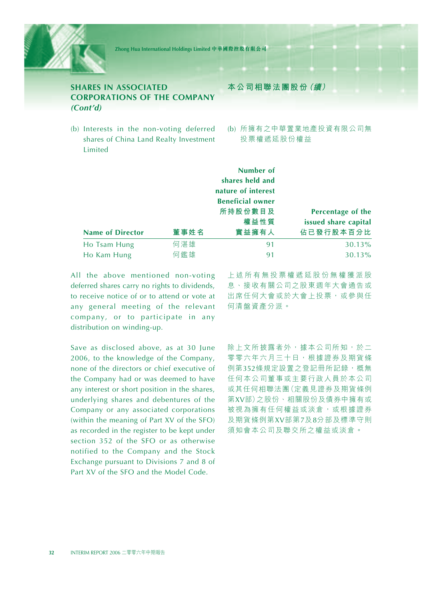

## **SHARES IN ASSOCIATED CORPORATIONS OF THE COMPANY** *(Cont'd)*

(b) Interests in the non-voting deferred shares of China Land Realty Investment Limited

**本公司相聯法團股份(續)**

(b) 所擁有之中華置業地產投資有限公司無 投票權遞延股份權益

|                             |            | Number of<br>shares held and<br>nature of interest |                                           |
|-----------------------------|------------|----------------------------------------------------|-------------------------------------------|
|                             |            | <b>Beneficial owner</b><br>所持股份數目及<br>權益性質         | Percentage of the<br>issued share capital |
| <b>Name of Director</b>     | 董事姓名       | 實益擁有人                                              | 佔已發行股本百分比                                 |
| Ho Tsam Hung<br>Ho Kam Hung | 何湛雄<br>何鑑雄 | 91<br>91                                           | 30.13%<br>30.13%                          |

All the above mentioned non-voting deferred shares carry no rights to dividends, to receive notice of or to attend or vote at any general meeting of the relevant company, or to participate in any distribution on winding-up.

Save as disclosed above, as at 30 June 2006, to the knowledge of the Company, none of the directors or chief executive of the Company had or was deemed to have any interest or short position in the shares, underlying shares and debentures of the Company or any associated corporations (within the meaning of Part XV of the SFO) as recorded in the register to be kept under section 352 of the SFO or as otherwise notified to the Company and the Stock Exchange pursuant to Divisions 7 and 8 of Part XV of the SFO and the Model Code.

上述所有無投票權遞延股份無權獲派股 息、接收有關公司之股東週年大會通告或 出席任何大會或於大會上投票,或參與任 何清盤資產分派。

除上文所披露者外,據本公司所知,於二 零零六年六月三十日,根據證券及期貨條 例第352條規定設置之登記冊所記錄,概無 任何本公司董事或主要行政人員於本公司 或其任何相聯法團(定義見證券及期貨條例 第XV部)之股份、相關股份及債券中擁有或 被視為擁有任何權益或淡倉,或根據證券 及期貨條例第XV部第7及8分部及標準守則 須知會本公司及聯交所之權益或淡倉。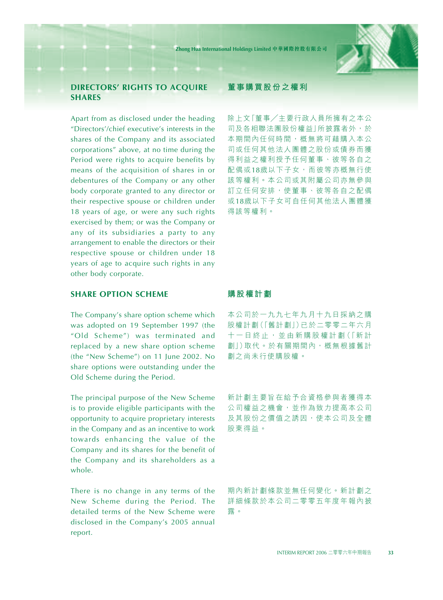

## **DIRECTORS' RIGHTS TO ACQUIRE SHARES**

Apart from as disclosed under the heading "Directors'/chief executive's interests in the shares of the Company and its associated corporations" above, at no time during the Period were rights to acquire benefits by means of the acquisition of shares in or debentures of the Company or any other body corporate granted to any director or their respective spouse or children under 18 years of age, or were any such rights exercised by them; or was the Company or any of its subsidiaries a party to any arrangement to enable the directors or their respective spouse or children under 18 years of age to acquire such rights in any other body corporate.

#### **SHARE OPTION SCHEME**

The Company's share option scheme which was adopted on 19 September 1997 (the "Old Scheme") was terminated and replaced by a new share option scheme (the "New Scheme") on 11 June 2002. No share options were outstanding under the Old Scheme during the Period.

The principal purpose of the New Scheme is to provide eligible participants with the opportunity to acquire proprietary interests in the Company and as an incentive to work towards enhancing the value of the Company and its shares for the benefit of the Company and its shareholders as a whole.

There is no change in any terms of the New Scheme during the Period. The detailed terms of the New Scheme were disclosed in the Company's 2005 annual report.

#### **董事購買股份之權利**

除上文「董事/主要行政人員所擁有之本公 司及各相聯法團股份權益|所披露者外,於 本期間內任何時間,概無將可藉購入本公 司或任何其他法人團體之股份或債券而獲 得利益之權利授予任何董事、彼等各自之 配偶或18歲以下子女,而彼等亦概無行使 該等權利。本公司或其附屬公司亦無參與 訂立任何安排,使董事、彼等各自之配偶 或18歲以下子女可自任何其他法人團體獲 得該等權利。

#### **購股權計劃**

本公司於一九九七年九月十九日採納之購 股權計劃(「舊計劃」)已於二零零二年六月 十 一 日 終 止 , 並 由 新 購 股 權 計 劃(「新計 劃」)取代。於有關期間內,概無根據舊計 劃之尚未行使購股權。

新計劃主要旨在給予合資格參與者獲得本 公司權益之機會,並作為致力提高本公司 及其股份之價值之誘因,使本公司及全體 股東得益。

期內新計劃條款並無任何變化。新計劃之 詳細條款於本公司二零零五年度年報內披 露。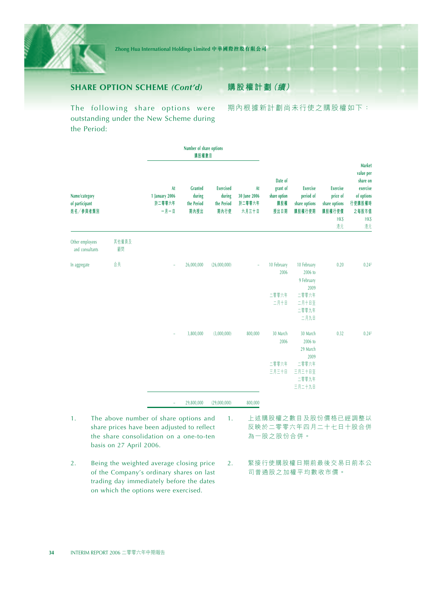

**購股權計劃(續)**

The following share options were outstanding under the New Scheme during the Period:

期內根據新計劃尚未行使之購股權如下:

|                                             |             |                                        | Number of share options<br>購股權數目               |                                                  |                                       |                                                    |                                                                                 |                                                                             |                                                                                                          |
|---------------------------------------------|-------------|----------------------------------------|------------------------------------------------|--------------------------------------------------|---------------------------------------|----------------------------------------------------|---------------------------------------------------------------------------------|-----------------------------------------------------------------------------|----------------------------------------------------------------------------------------------------------|
| Name/category<br>of participant<br>姓名/参與者類別 |             | At<br>1 January 2006<br>於二零零六年<br>一月一日 | <b>Granted</b><br>during<br>the Period<br>期內授出 | <b>Exercised</b><br>during<br>the Period<br>期內行使 | At<br>30 June 2006<br>於二零零六年<br>六月三十日 | Date of<br>grant of<br>share option<br>購股權<br>授出日期 | <b>Exercise</b><br>period of<br>share options<br>購股權行使期                         | <b>Exercise</b><br>price of<br>share options<br>購股權行使價<br><b>HK\$</b><br>港元 | <b>Market</b><br>value per<br>share on<br>exercise<br>of options<br>行使購股權時<br>之每股市值<br><b>HK\$</b><br>港元 |
| Other employees<br>and consultants          | 其他僱員及<br>顧問 |                                        |                                                |                                                  |                                       |                                                    |                                                                                 |                                                                             |                                                                                                          |
| In aggregate                                | 合共          | J.                                     | 26,000,000                                     | (26,000,000)                                     |                                       | 10 February<br>2006<br>二零零六年<br>二月十日               | 10 February<br>2006 to<br>9 February<br>2009<br>二零零六年<br>二月十日至<br>二零零九年<br>二月九日 | 0.20                                                                        | 0.24 <sup>2</sup>                                                                                        |
|                                             |             |                                        | 3,800,000                                      | (3,000,000)                                      | 800,000                               | 30 March<br>2006<br>二零零六年<br>三月三十日                 | 30 March<br>2006 to<br>29 March<br>2009<br>二零零六年<br>三月三十日至<br>二零零九年<br>三月二十九日   | 0.32                                                                        | 0.24 <sup>2</sup>                                                                                        |
|                                             |             | ÷                                      | 29,800,000                                     | (29,000,000)                                     | 800,000                               |                                                    |                                                                                 |                                                                             |                                                                                                          |

- 1. The above number of share options and share prices have been adjusted to reflect the share consolidation on a one-to-ten basis on 27 April 2006.
- 2. Being the weighted average closing price of the Company's ordinary shares on last trading day immediately before the dates on which the options were exercised.
- 1. 上述購股權之數目及股份價格已經調整以 反映於二零零六年四月二十七日十股合併 為一股之股份合併。
- 2. 緊接行使購股權日期前最後交易日前本公 司普通股之加權平均數收市價。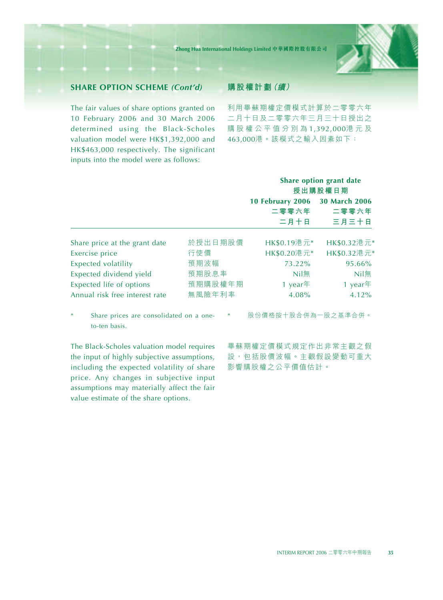

## **SHARE OPTION SCHEME** *(Cont'd)*

The fair values of share options granted on 10 February 2006 and 30 March 2006 determined using the Black-Scholes valuation model were HK\$1,392,000 and HK\$463,000 respectively. The significant inputs into the model were as follows:

## **購股權計劃(續)**

利用畢蘇期權定價模式計算於二零零六年 二月十日及二零零六年三月三十日授出之 購股權公平值分別為 1,392,000港元及 463,000港。該模式之輸入因素如下:

|                                |         |                  | Share option grant date<br>授出購股權日期 |
|--------------------------------|---------|------------------|------------------------------------|
|                                |         | 10 February 2006 | 30 March 2006                      |
|                                |         | 二零零六年            | 二零零六年                              |
|                                |         | 二月十日             | 三月三十日                              |
| Share price at the grant date  | 於授出日期股價 | HK\$0.19港元*      | HK\$0.32港元*                        |
| Exercise price                 | 行使價     | HK\$0.20港元*      | HK\$0.32港元*                        |
| <b>Expected volatility</b>     | 預期波幅    | 73.22%           | 95.66%                             |
| Expected dividend yield        | 預期股息率   | Nil              | Nil無                               |
| Expected life of options       | 預期購股權年期 | 1 year $#$       | 1 year $#$                         |
| Annual risk free interest rate | 無風險年利率  | 4.08%            | 4.12%                              |

Share prices are consolidated on a oneto-ten basis.

The Black-Scholes valuation model requires the input of highly subjective assumptions, including the expected volatility of share price. Any changes in subjective input assumptions may materially affect the fair value estimate of the share options.

股份價格按十股合併為一股之基準合併。

畢蘇期權定價模式規定作出非常主觀之假 設,包括股價波幅。主觀假設變動可重大 影響購股權之公平價值估計。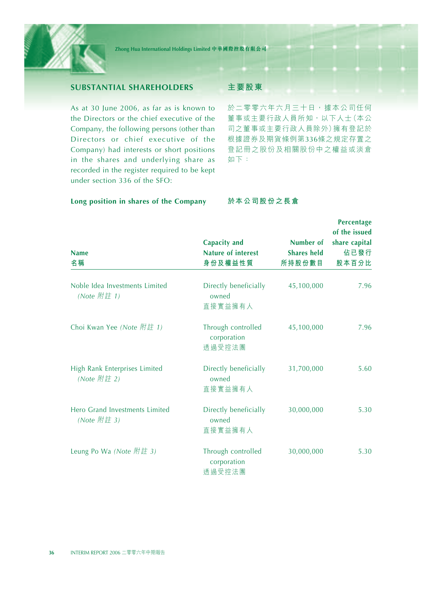

## **SUBSTANTIAL SHAREHOLDERS**

As at 30 June 2006, as far as is known to the Directors or the chief executive of the Company, the following persons (other than Directors or chief executive of the Company) had interests or short positions in the shares and underlying share as recorded in the register required to be kept under section 336 of the SFO:

#### **Long position in shares of the Company**

#### **主要股東**

於二零零六年六月三十日,據本公司任何 董事或主要行政人員所知,以下人士(本公 司之董事或主要行政人員除外)擁有登記於 根據證券及期貨條例第336條之規定存置之 登記冊之股份及相關股份中之權益或淡倉 如下:

#### **於本公司股份之長倉**

|                                               |                                                             |                                           | <b>Percentage</b>                               |
|-----------------------------------------------|-------------------------------------------------------------|-------------------------------------------|-------------------------------------------------|
| <b>Name</b><br>名稱                             | <b>Capacity and</b><br><b>Nature of interest</b><br>身份及權益性質 | Number of<br><b>Shares held</b><br>所持股份數目 | of the issued<br>share capital<br>佔已發行<br>股本百分比 |
| Noble Idea Investments Limited<br>(Note 附註 1) | Directly beneficially<br>owned<br>直接實益擁有人                   | 45,100,000                                | 7.96                                            |
| Choi Kwan Yee (Note 附註 1)                     | Through controlled<br>corporation<br>透過受控法團                 | 45,100,000                                | 7.96                                            |
| High Rank Enterprises Limited<br>(Note 附註 2)  | Directly beneficially<br>owned<br>直接實益擁有人                   | 31,700,000                                | 5.60                                            |
| Hero Grand Investments Limited<br>(Note 附註 3) | Directly beneficially<br>owned<br>直接實益擁有人                   | 30,000,000                                | 5.30                                            |
| Leung Po Wa (Note 附註 3)                       | Through controlled<br>corporation<br>透過受控法團                 | 30,000,000                                | 5.30                                            |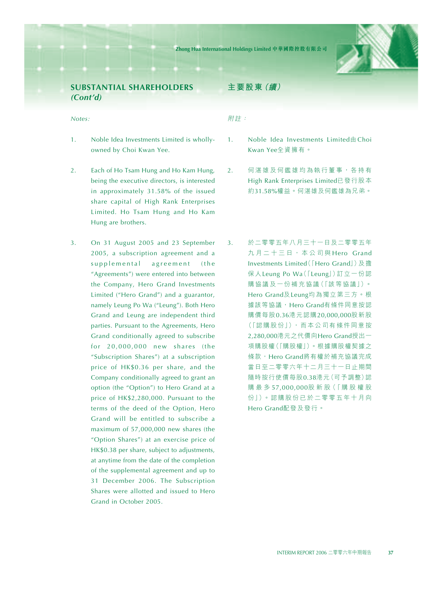

## **SUBSTANTIAL SHAREHOLDERS** *(Cont'd)*

#### *Notes:*

- 1. Noble Idea Investments Limited is whollyowned by Choi Kwan Yee.
- 2. Each of Ho Tsam Hung and Ho Kam Hung, being the executive directors, is interested in approximately 31.58% of the issued share capital of High Rank Enterprises Limited. Ho Tsam Hung and Ho Kam Hung are brothers.
- 3. On 31 August 2005 and 23 September 2005, a subscription agreement and a supplemental agreement (the "Agreements") were entered into between the Company, Hero Grand Investments Limited ("Hero Grand") and a guarantor, namely Leung Po Wa ("Leung"). Both Hero Grand and Leung are independent third parties. Pursuant to the Agreements, Hero Grand conditionally agreed to subscribe for 20,000,000 new shares (the "Subscription Shares") at a subscription price of HK\$0.36 per share, and the Company conditionally agreed to grant an option (the "Option") to Hero Grand at a price of HK\$2,280,000. Pursuant to the terms of the deed of the Option, Hero Grand will be entitled to subscribe a maximum of 57,000,000 new shares (the "Option Shares") at an exercise price of HK\$0.38 per share, subject to adjustments, at anytime from the date of the completion of the supplemental agreement and up to 31 December 2006. The Subscription Shares were allotted and issued to Hero Grand in October 2005.

## **主要股東(續)**

附註:

- 1. Noble Idea Investments Limited由 Choi Kwan Yee全資擁有。
- 2. 何湛雄及何鑑雄均為執行董事,各持有 High Rank Enterprises Limited已發行股本 約31.58%權益。何湛雄及何鑑雄為兄弟。
- 3. 於二零零五年八月三十一日及二零零五年 九月二十三日,本公司與 Hero Grand Investments Limited(「Hero Grand」)及擔 保人Leung Po Wa(「Leung」)訂立一份認 購協議及一份補充協議(「該等協議」)。 Hero Grand及Leung均為獨立第三方。根 據該等協議,Hero Grand有條件同意按認 購價每股0.36港元認購20,000,000股新股 (「認購股份」),而本公司有條件同意按 2,280,000港元之代價向Hero Grand授出一 項購股權(「購股權」)。根據購股權契據之 條款, Hero Grand將有權於補充協議完成 當日至二零零六年十二月三十一日止期間 隨時按行使價每股0.38港元(可予調整)認 購最多 57,000,000股 新 股(「購 股 權 股 份」)。認購股份已於二零零五年十月向 Hero Grand配發及發行。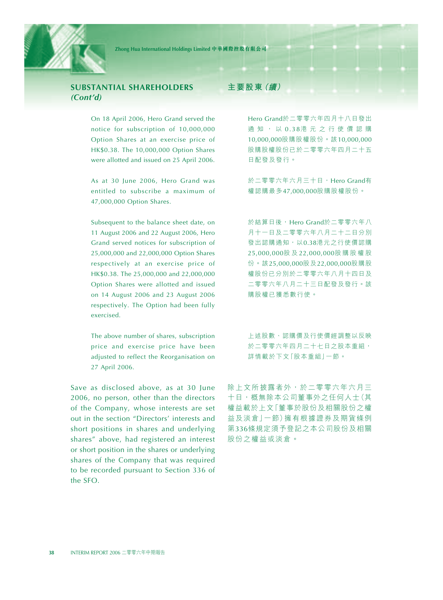

## **SUBSTANTIAL SHAREHOLDERS** *(Cont'd)*

On 18 April 2006, Hero Grand served the notice for subscription of 10,000,000 Option Shares at an exercise price of HK\$0.38. The 10,000,000 Option Shares were allotted and issued on 25 April 2006.

As at 30 June 2006, Hero Grand was entitled to subscribe a maximum of 47,000,000 Option Shares.

Subsequent to the balance sheet date, on 11 August 2006 and 22 August 2006, Hero Grand served notices for subscription of 25,000,000 and 22,000,000 Option Shares respectively at an exercise price of HK\$0.38. The 25,000,000 and 22,000,000 Option Shares were allotted and issued on 14 August 2006 and 23 August 2006 respectively. The Option had been fully exercised.

The above number of shares, subscription price and exercise price have been adjusted to reflect the Reorganisation on 27 April 2006.

Save as disclosed above, as at 30 June 2006, no person, other than the directors of the Company, whose interests are set out in the section "Directors' interests and short positions in shares and underlying shares" above, had registered an interest or short position in the shares or underlying shares of the Company that was required to be recorded pursuant to Section 336 of the SFO.

## **主要股東(續)**

Hero Grand於二零零六年四月十八日發出 通知,以 0.38港元之行使價認購 10,000,000股購股權股份。該10,000,000 股購股權股份已於二零零六年四月二十五 日配發及發行。

於二零零六年六月三十日, Hero Grand有 權認購最多47,000,000股購股權股份。

於結算日後, Hero Grand於二零零六年八 月十一日及二零零六年八月二十二日分別 發出認購通知,以0.38港元之行使價認購 25,000,000股 及 22,000,000股購股權股 份。該25,000,000股及22,000,000股購股 權股份已分別於二零零六年八月十四日及 二零零六年八月二十三日配發及發行。該 購股權已獲悉數行使。

上述股數、認購價及行使價經調整以反映 於二零零六年四月二十七日之股本重組, 詳情載於下文「股本重組」一節。

除上文所披露者外,於二零零六年六月三 十日,概無除本公司董事外之任何人士(其 權益載於上文「董事於股份及相關股份之權 益及淡倉」一節)擁有根據證券及期貨條例 第336條規定須予登記之本公司股份及相關 股份之權益或淡倉。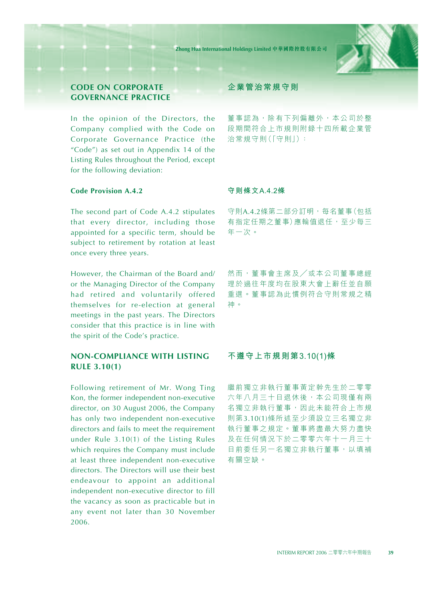

## **CODE ON CORPORATE GOVERNANCE PRACTICE**

In the opinion of the Directors, the Company complied with the Code on Corporate Governance Practice (the "Code") as set out in Appendix 14 of the Listing Rules throughout the Period, except for the following deviation:

### **Code Provision A.4.2**

The second part of Code A.4.2 stipulates that every director, including those appointed for a specific term, should be subject to retirement by rotation at least once every three years.

However, the Chairman of the Board and/ or the Managing Director of the Company had retired and voluntarily offered themselves for re-election at general meetings in the past years. The Directors consider that this practice is in line with the spirit of the Code's practice.

## **NON-COMPLIANCE WITH LISTING RULE 3.10(1)**

Following retirement of Mr. Wong Ting Kon, the former independent non-executive director, on 30 August 2006, the Company has only two independent non-executive directors and fails to meet the requirement under Rule 3.10(1) of the Listing Rules which requires the Company must include at least three independent non-executive directors. The Directors will use their best endeavour to appoint an additional independent non-executive director to fill the vacancy as soon as practicable but in any event not later than 30 November 2006.

## **企業管治常規守則**

董事認為,除有下列偏離外,本公司於整 段期間符合上市規則附錄十四所載企業管 治常規守則(「守則」):

#### **守則條文A.4.2條**

守則A.4.2條第二部分訂明,每名董事(包括 有指定任期之董事)應輪值退任,至少每三 年一次。

然而,董事會主席及/或本公司董事總經 理於過往年度均在股東大會上辭任並自願 重選。董事認為此慣例符合守則常規之精 神。

#### **不遵守上市規則第3.10(1)條**

繼前獨立非執行董事黃定幹先生於二零零 六年八月三十日退休後,本公司現僅有兩 名獨立非執行董事,因此未能符合上市規 則第3.10(1)條所述至少須設立三名獨立非 執行董事之規定。董事將盡最大努力盡快 及在任何情況下於二零零六年十一月三十 日前委任另一名獨立非執行董事,以填補 有關空缺。